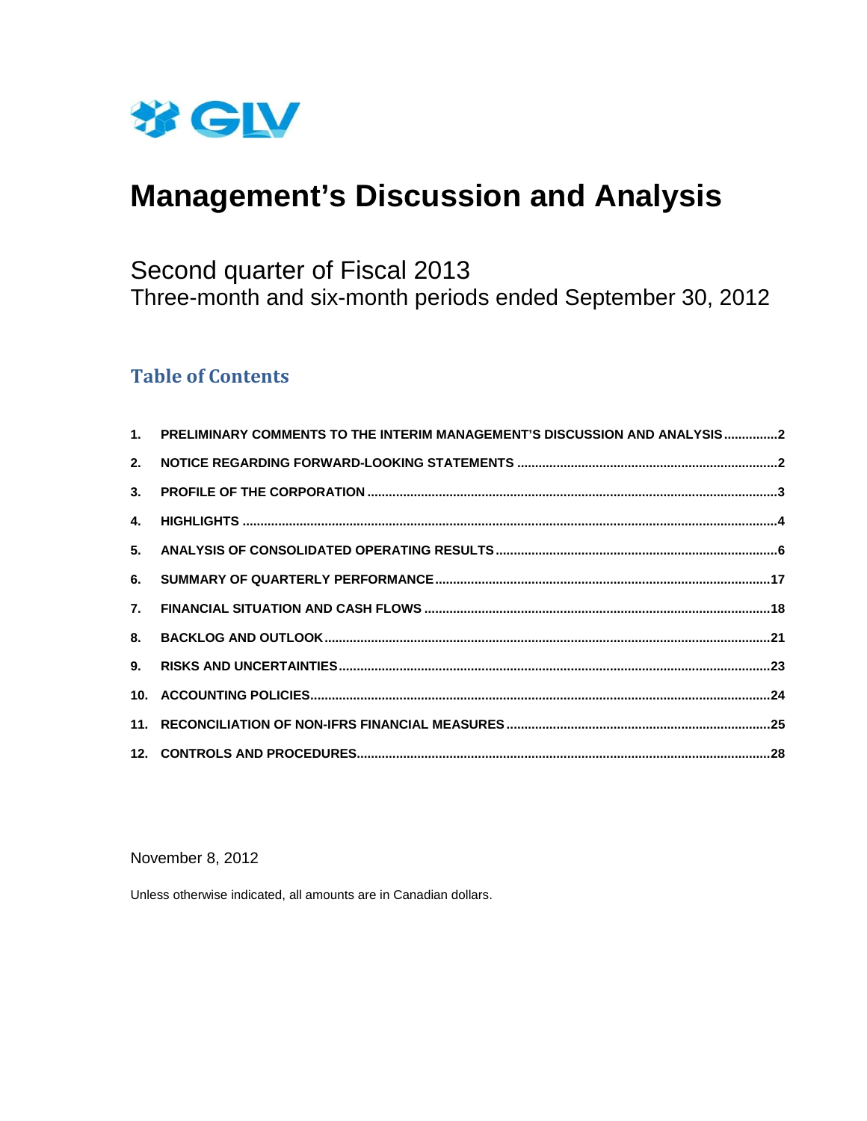

# **Management's Discussion and Analysis**

## Second quarter of Fiscal 2013 Three-month and six-month periods ended September 30, 2012

## **Table of Contents**

| 1. PRELIMINARY COMMENTS TO THE INTERIM MANAGEMENT'S DISCUSSION AND ANALYSIS2 |  |
|------------------------------------------------------------------------------|--|
|                                                                              |  |
|                                                                              |  |
|                                                                              |  |
|                                                                              |  |
|                                                                              |  |
|                                                                              |  |
|                                                                              |  |
|                                                                              |  |
|                                                                              |  |
|                                                                              |  |
|                                                                              |  |

#### November 8, 2012

Unless otherwise indicated, all amounts are in Canadian dollars.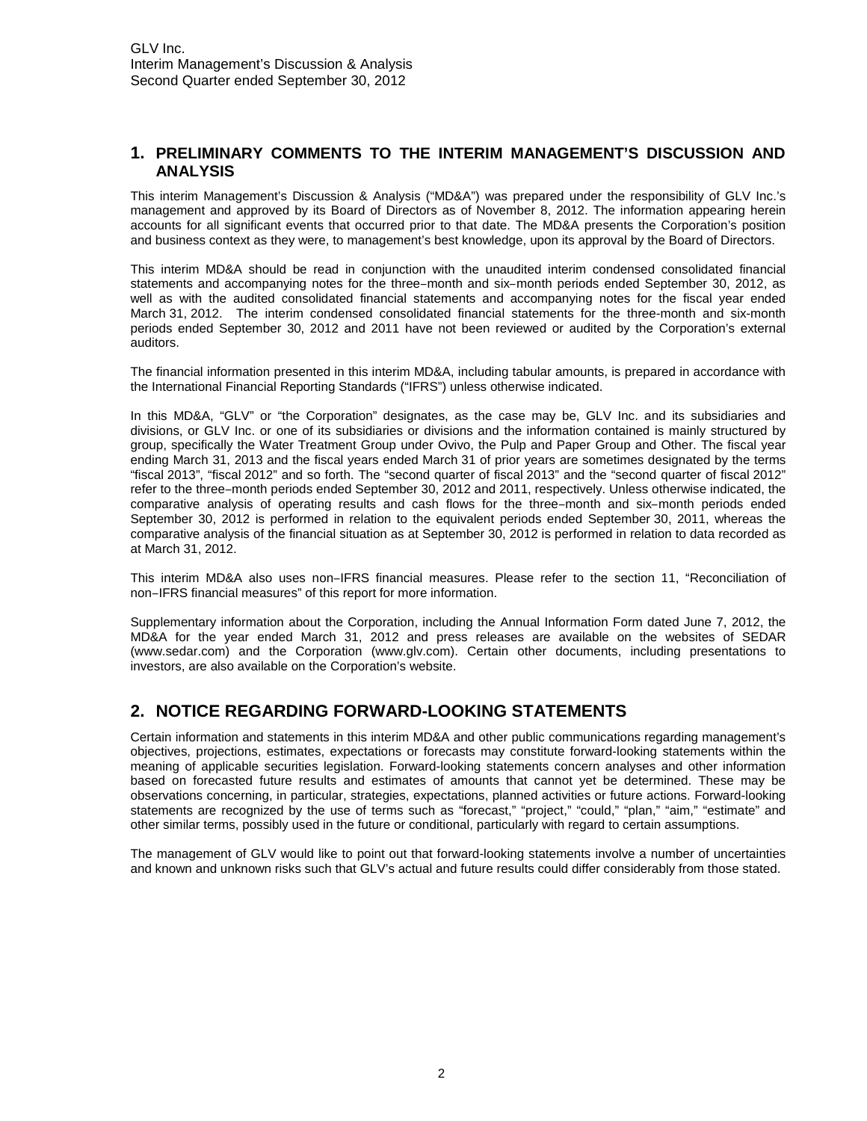#### **1. PRELIMINARY COMMENTS TO THE INTERIM MANAGEMENT'S DISCUSSION AND ANALYSIS**

This interim Management's Discussion & Analysis ("MD&A") was prepared under the responsibility of GLV Inc.'s management and approved by its Board of Directors as of November 8, 2012. The information appearing herein accounts for all significant events that occurred prior to that date. The MD&A presents the Corporation's position and business context as they were, to management's best knowledge, upon its approval by the Board of Directors.

This interim MD&A should be read in conjunction with the unaudited interim condensed consolidated financial statements and accompanying notes for the three–month and six–month periods ended September 30, 2012, as well as with the audited consolidated financial statements and accompanying notes for the fiscal year ended March 31, 2012. The interim condensed consolidated financial statements for the three-month and six-month periods ended September 30, 2012 and 2011 have not been reviewed or audited by the Corporation's external auditors.

The financial information presented in this interim MD&A, including tabular amounts, is prepared in accordance with the International Financial Reporting Standards ("IFRS") unless otherwise indicated.

In this MD&A, "GLV" or "the Corporation" designates, as the case may be, GLV Inc. and its subsidiaries and divisions, or GLV Inc. or one of its subsidiaries or divisions and the information contained is mainly structured by group, specifically the Water Treatment Group under Ovivo, the Pulp and Paper Group and Other. The fiscal year ending March 31, 2013 and the fiscal years ended March 31 of prior years are sometimes designated by the terms "fiscal 2013", "fiscal 2012" and so forth. The "second quarter of fiscal 2013" and the "second quarter of fiscal 2012" refer to the three–month periods ended September 30, 2012 and 2011, respectively. Unless otherwise indicated, the comparative analysis of operating results and cash flows for the three–month and six–month periods ended September 30, 2012 is performed in relation to the equivalent periods ended September 30, 2011, whereas the comparative analysis of the financial situation as at September 30, 2012 is performed in relation to data recorded as at March 31, 2012.

This interim MD&A also uses non-IFRS financial measures. Please refer to the section 11, "Reconciliation of non-IFRS financial measures" of this report for more information.

Supplementary information about the Corporation, including the Annual Information Form dated June 7, 2012, the MD&A for the year ended March 31, 2012 and press releases are available on the websites of SEDAR (www.sedar.com) and the Corporation (www.glv.com). Certain other documents, including presentations to investors, are also available on the Corporation's website.

## **2. NOTICE REGARDING FORWARD-LOOKING STATEMENTS**

Certain information and statements in this interim MD&A and other public communications regarding management's objectives, projections, estimates, expectations or forecasts may constitute forward-looking statements within the meaning of applicable securities legislation. Forward-looking statements concern analyses and other information based on forecasted future results and estimates of amounts that cannot yet be determined. These may be observations concerning, in particular, strategies, expectations, planned activities or future actions. Forward-looking statements are recognized by the use of terms such as "forecast," "project," "could," "plan," "aim," "estimate" and other similar terms, possibly used in the future or conditional, particularly with regard to certain assumptions.

The management of GLV would like to point out that forward-looking statements involve a number of uncertainties and known and unknown risks such that GLV's actual and future results could differ considerably from those stated.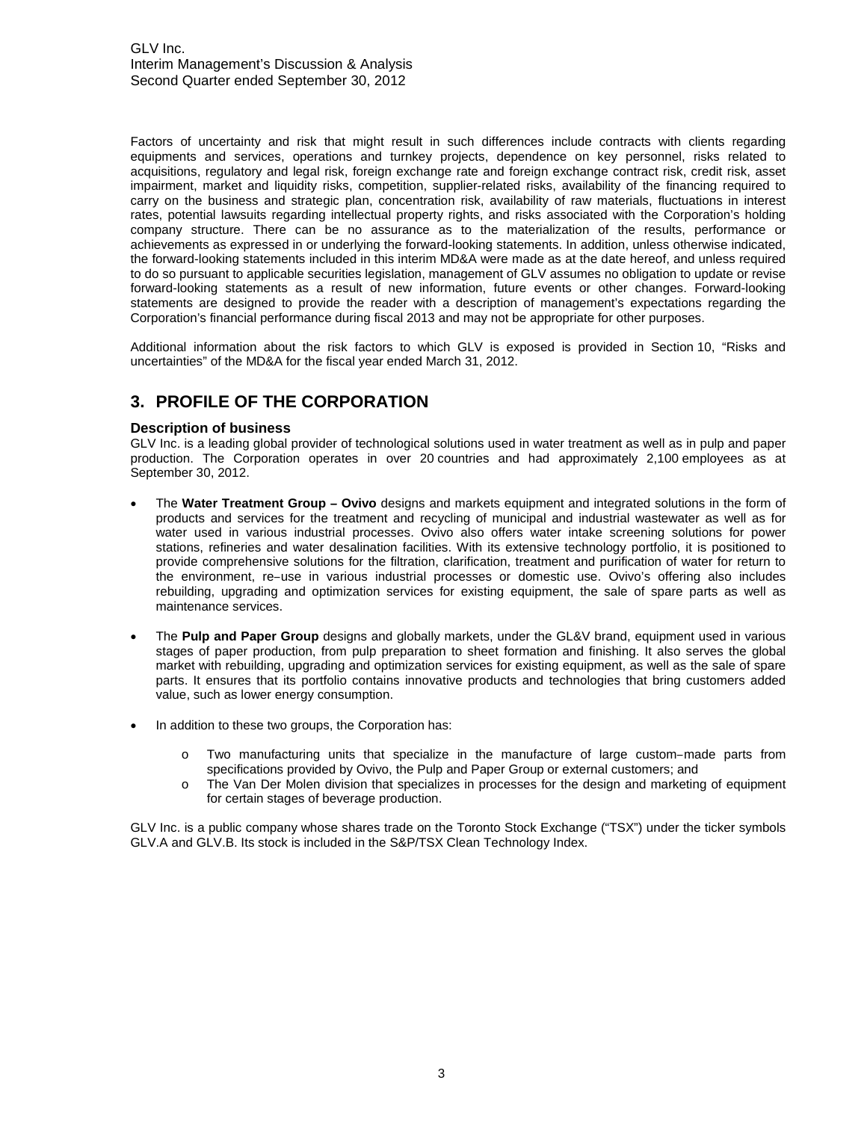Factors of uncertainty and risk that might result in such differences include contracts with clients regarding equipments and services, operations and turnkey projects, dependence on key personnel, risks related to acquisitions, regulatory and legal risk, foreign exchange rate and foreign exchange contract risk, credit risk, asset impairment, market and liquidity risks, competition, supplier-related risks, availability of the financing required to carry on the business and strategic plan, concentration risk, availability of raw materials, fluctuations in interest rates, potential lawsuits regarding intellectual property rights, and risks associated with the Corporation's holding company structure. There can be no assurance as to the materialization of the results, performance or achievements as expressed in or underlying the forward-looking statements. In addition, unless otherwise indicated, the forward-looking statements included in this interim MD&A were made as at the date hereof, and unless required to do so pursuant to applicable securities legislation, management of GLV assumes no obligation to update or revise forward-looking statements as a result of new information, future events or other changes. Forward-looking statements are designed to provide the reader with a description of management's expectations regarding the Corporation's financial performance during fiscal 2013 and may not be appropriate for other purposes.

Additional information about the risk factors to which GLV is exposed is provided in Section 10, "Risks and uncertainties" of the MD&A for the fiscal year ended March 31, 2012.

## **3. PROFILE OF THE CORPORATION**

#### **Description of business**

GLV Inc. is a leading global provider of technological solutions used in water treatment as well as in pulp and paper production. The Corporation operates in over 20 countries and had approximately 2,100 employees as at September 30, 2012.

- The Water Treatment Group Ovivo designs and markets equipment and integrated solutions in the form of products and services for the treatment and recycling of municipal and industrial wastewater as well as for water used in various industrial processes. Ovivo also offers water intake screening solutions for power stations, refineries and water desalination facilities. With its extensive technology portfolio, it is positioned to provide comprehensive solutions for the filtration, clarification, treatment and purification of water for return to the environment, re-use in various industrial processes or domestic use. Ovivo's offering also includes rebuilding, upgrading and optimization services for existing equipment, the sale of spare parts as well as maintenance services.
- The **Pulp and Paper Group** designs and globally markets, under the GL&V brand, equipment used in various stages of paper production, from pulp preparation to sheet formation and finishing. It also serves the global market with rebuilding, upgrading and optimization services for existing equipment, as well as the sale of spare parts. It ensures that its portfolio contains innovative products and technologies that bring customers added value, such as lower energy consumption.
- In addition to these two groups, the Corporation has:
	- $\circ$  Two manufacturing units that specialize in the manufacture of large custom-made parts from specifications provided by Ovivo, the Pulp and Paper Group or external customers; and
	- o The Van Der Molen division that specializes in processes for the design and marketing of equipment for certain stages of beverage production.

GLV Inc. is a public company whose shares trade on the Toronto Stock Exchange ("TSX") under the ticker symbols GLV.A and GLV.B. Its stock is included in the S&P/TSX Clean Technology Index.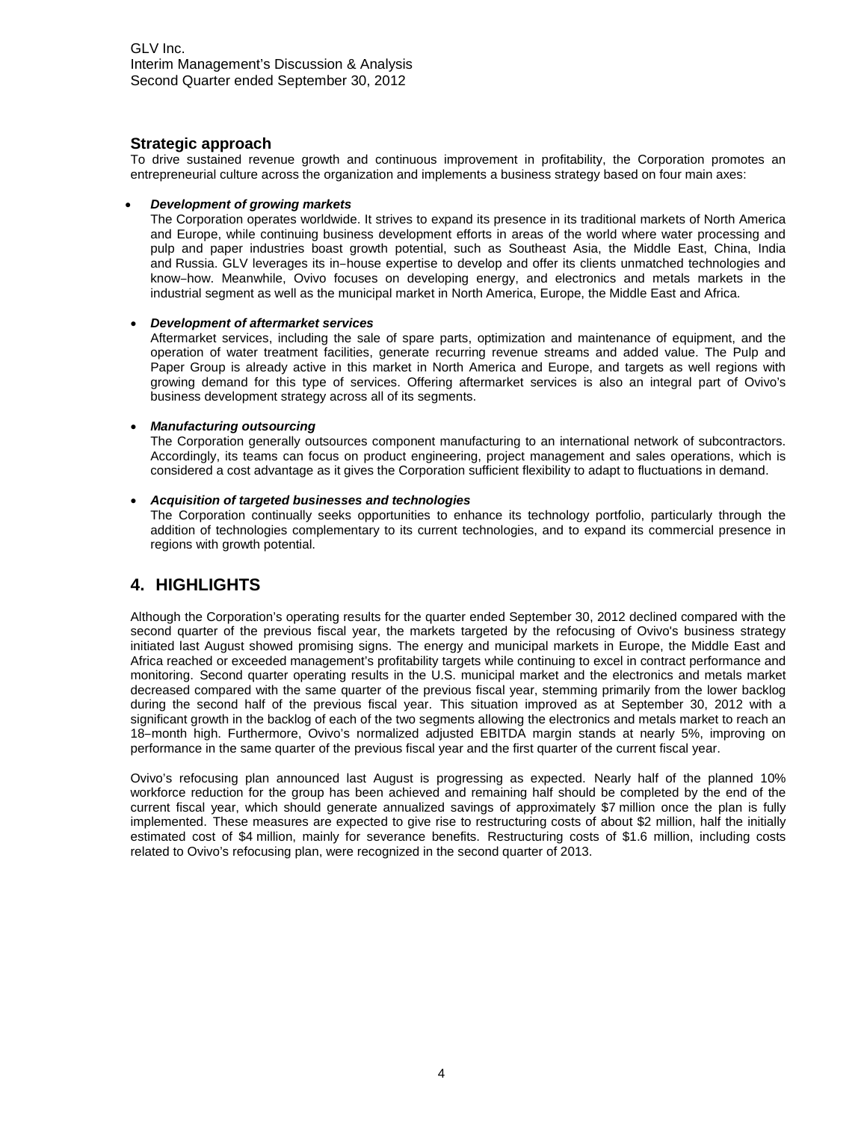#### **Strategic approach**

To drive sustained revenue growth and continuous improvement in profitability, the Corporation promotes an entrepreneurial culture across the organization and implements a business strategy based on four main axes:

#### *Development of growing markets*

The Corporation operates worldwide. It strives to expand its presence in its traditional markets of North America and Europe, while continuing business development efforts in areas of the world where water processing and pulp and paper industries boast growth potential, such as Southeast Asia, the Middle East, China, India and Russia. GLV leverages its in-house expertise to develop and offer its clients unmatched technologies and know-how. Meanwhile, Ovivo focuses on developing energy, and electronics and metals markets in the industrial segment as well as the municipal market in North America, Europe, the Middle East and Africa.

#### *Development of aftermarket services*

Aftermarket services, including the sale of spare parts, optimization and maintenance of equipment, and the operation of water treatment facilities, generate recurring revenue streams and added value. The Pulp and Paper Group is already active in this market in North America and Europe, and targets as well regions with growing demand for this type of services. Offering aftermarket services is also an integral part of Ovivo's business development strategy across all of its segments.

#### *Manufacturing outsourcing*

The Corporation generally outsources component manufacturing to an international network of subcontractors. Accordingly, its teams can focus on product engineering, project management and sales operations, which is considered a cost advantage as it gives the Corporation sufficient flexibility to adapt to fluctuations in demand.

#### *Acquisition of targeted businesses and technologies*

The Corporation continually seeks opportunities to enhance its technology portfolio, particularly through the addition of technologies complementary to its current technologies, and to expand its commercial presence in regions with growth potential.

## **4. HIGHLIGHTS**

Although the Corporation's operating results for the quarter ended September 30, 2012 declined compared with the second quarter of the previous fiscal year, the markets targeted by the refocusing of Ovivo's business strategy initiated last August showed promising signs. The energy and municipal markets in Europe, the Middle East and Africa reached or exceeded management's profitability targets while continuing to excel in contract performance and monitoring. Second quarter operating results in the U.S. municipal market and the electronics and metals market decreased compared with the same quarter of the previous fiscal year, stemming primarily from the lower backlog during the second half of the previous fiscal year. This situation improved as at September 30, 2012 with a significant growth in the backlog of each of the two segments allowing the electronics and metals market to reach an 18–month high. Furthermore, Ovivo's normalized adjusted EBITDA margin stands at nearly 5%, improving on performance in the same quarter of the previous fiscal year and the first quarter of the current fiscal year.

Ovivo's refocusing plan announced last August is progressing as expected. Nearly half of the planned 10% workforce reduction for the group has been achieved and remaining half should be completed by the end of the current fiscal year, which should generate annualized savings of approximately \$7 million once the plan is fully implemented. These measures are expected to give rise to restructuring costs of about \$2 million, half the initially estimated cost of \$4 million, mainly for severance benefits. Restructuring costs of \$1.6 million, including costs related to Ovivo's refocusing plan, were recognized in the second quarter of 2013.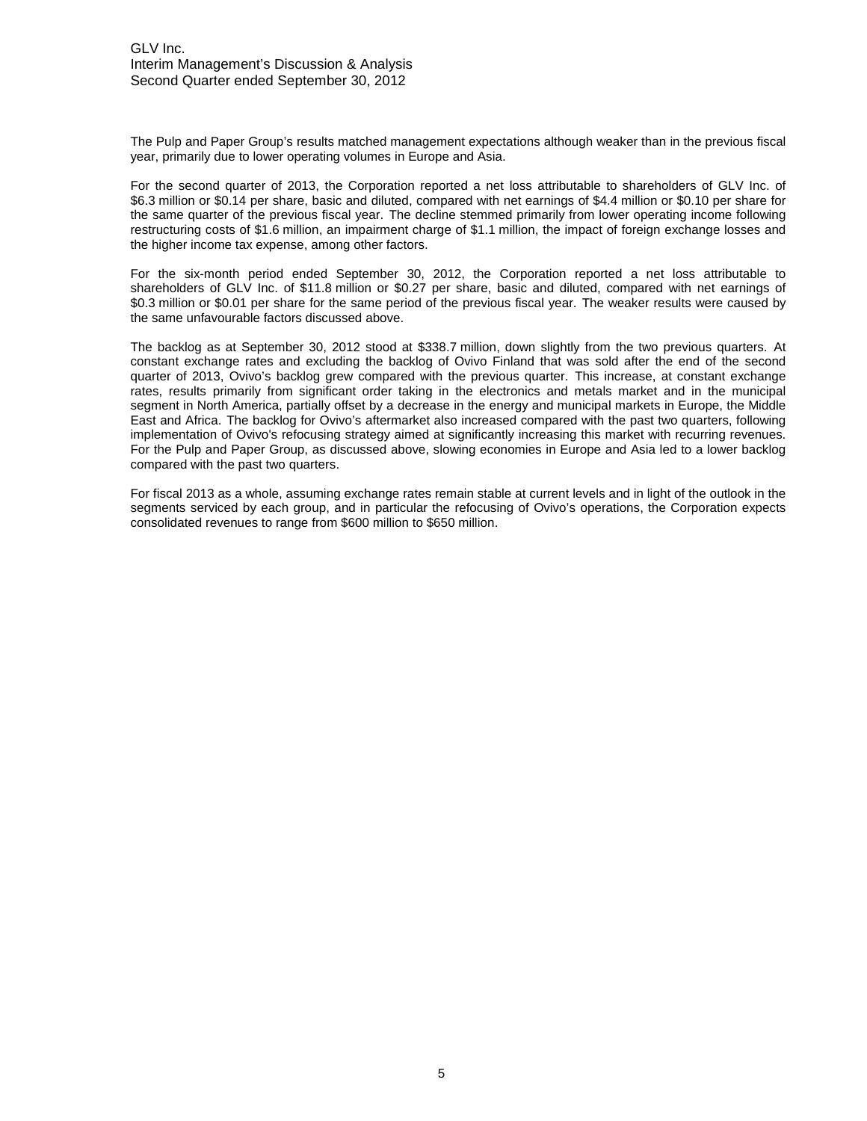The Pulp and Paper Group's results matched management expectations although weaker than in the previous fiscal year, primarily due to lower operating volumes in Europe and Asia.

For the second quarter of 2013, the Corporation reported a net loss attributable to shareholders of GLV Inc. of \$6.3 million or \$0.14 per share, basic and diluted, compared with net earnings of \$4.4 million or \$0.10 per share for the same quarter of the previous fiscal year. The decline stemmed primarily from lower operating income following restructuring costs of \$1.6 million, an impairment charge of \$1.1 million, the impact of foreign exchange losses and the higher income tax expense, among other factors.

For the six-month period ended September 30, 2012, the Corporation reported a net loss attributable to shareholders of GLV Inc. of \$11.8 million or \$0.27 per share, basic and diluted, compared with net earnings of \$0.3 million or \$0.01 per share for the same period of the previous fiscal year. The weaker results were caused by the same unfavourable factors discussed above.

The backlog as at September 30, 2012 stood at \$338.7 million, down slightly from the two previous quarters. At constant exchange rates and excluding the backlog of Ovivo Finland that was sold after the end of the second quarter of 2013, Ovivo's backlog grew compared with the previous quarter. This increase, at constant exchange rates, results primarily from significant order taking in the electronics and metals market and in the municipal segment in North America, partially offset by a decrease in the energy and municipal markets in Europe, the Middle East and Africa. The backlog for Ovivo's aftermarket also increased compared with the past two quarters, following implementation of Ovivo's refocusing strategy aimed at significantly increasing this market with recurring revenues. For the Pulp and Paper Group, as discussed above, slowing economies in Europe and Asia led to a lower backlog compared with the past two quarters.

For fiscal 2013 as a whole, assuming exchange rates remain stable at current levels and in light of the outlook in the segments serviced by each group, and in particular the refocusing of Ovivo's operations, the Corporation expects consolidated revenues to range from \$600 million to \$650 million.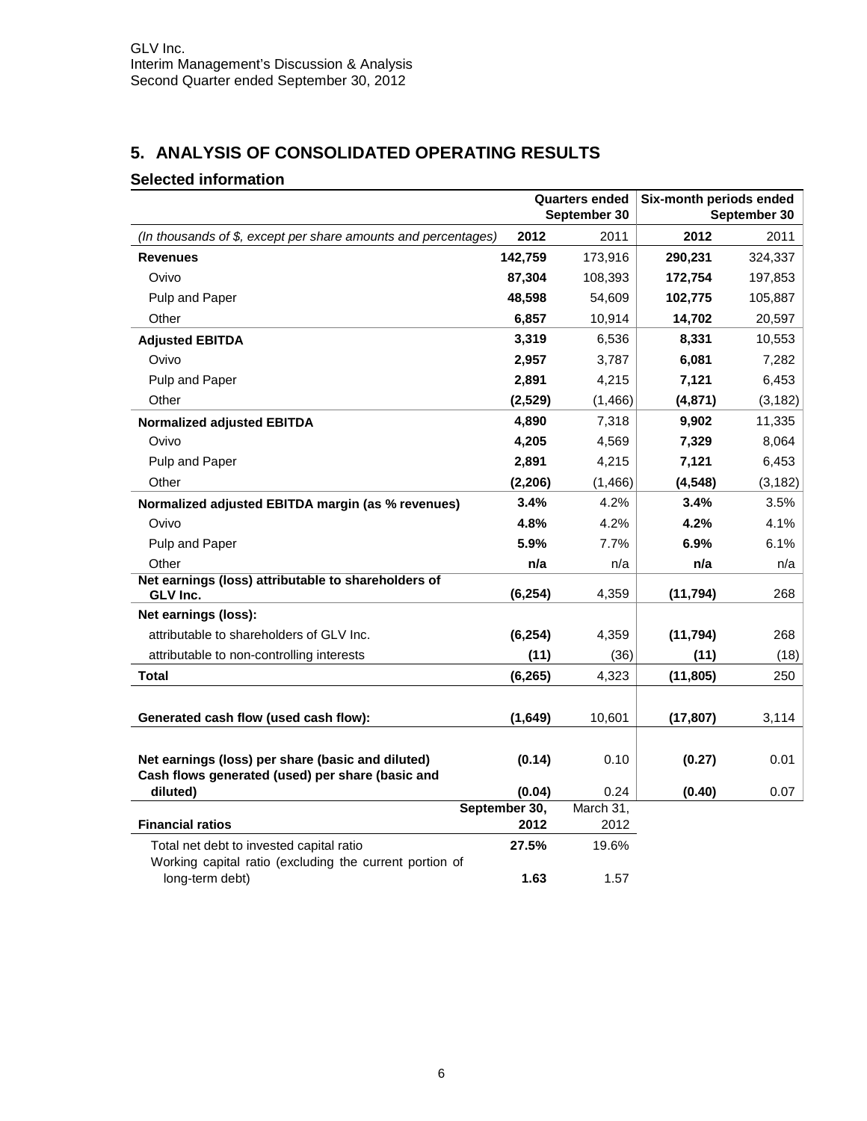## **5. ANALYSIS OF CONSOLIDATED OPERATING RESULTS**

## **Selected information**

|                                                                 |                       | <b>Quarters ended</b> | Six-month periods ended |              |  |
|-----------------------------------------------------------------|-----------------------|-----------------------|-------------------------|--------------|--|
|                                                                 |                       | September 30          |                         | September 30 |  |
| (In thousands of \$, except per share amounts and percentages)  | 2012                  | 2011                  | 2012                    | 2011         |  |
| <b>Revenues</b>                                                 | 142,759               | 173,916               | 290,231                 | 324,337      |  |
| Ovivo                                                           | 87,304                | 108,393               | 172,754                 | 197,853      |  |
| Pulp and Paper                                                  | 48,598                | 54,609                | 102,775                 | 105,887      |  |
| Other                                                           | 6,857                 | 10,914                | 14,702                  | 20,597       |  |
| <b>Adjusted EBITDA</b>                                          | 3,319                 | 6,536                 | 8,331                   | 10,553       |  |
| Ovivo                                                           | 2,957                 | 3,787                 | 6,081                   | 7,282        |  |
| Pulp and Paper                                                  | 2,891                 | 4,215                 | 7,121                   | 6,453        |  |
| Other                                                           | (2,529)               | (1, 466)              | (4, 871)                | (3, 182)     |  |
| <b>Normalized adjusted EBITDA</b>                               | 4,890                 | 7,318                 | 9,902                   | 11,335       |  |
| Ovivo                                                           | 4,205                 | 4,569                 | 7,329                   | 8,064        |  |
| Pulp and Paper                                                  | 2,891                 | 4,215                 | 7,121                   | 6,453        |  |
| Other                                                           | (2,206)               | (1,466)               | (4, 548)                | (3, 182)     |  |
| Normalized adjusted EBITDA margin (as % revenues)               | 3.4%                  | 4.2%                  | 3.4%                    | 3.5%         |  |
| Ovivo                                                           | 4.8%                  | 4.2%                  | 4.2%                    | 4.1%         |  |
| Pulp and Paper                                                  | 5.9%                  | 7.7%                  | 6.9%                    | 6.1%         |  |
| Other                                                           | n/a                   | n/a                   | n/a                     | n/a          |  |
| Net earnings (loss) attributable to shareholders of<br>GLV Inc. | (6, 254)              | 4,359                 | (11, 794)               | 268          |  |
| Net earnings (loss):                                            |                       |                       |                         |              |  |
| attributable to shareholders of GLV Inc.                        | (6, 254)              | 4,359                 | (11, 794)               | 268          |  |
| attributable to non-controlling interests                       | (11)                  | (36)                  | (11)                    | (18)         |  |
| Total                                                           | (6, 265)              | 4,323                 | (11, 805)               | 250          |  |
|                                                                 |                       |                       |                         |              |  |
| Generated cash flow (used cash flow):                           | (1,649)               | 10,601                | (17, 807)               | 3,114        |  |
|                                                                 |                       |                       |                         |              |  |
| Net earnings (loss) per share (basic and diluted)               | (0.14)                | 0.10                  | (0.27)                  | 0.01         |  |
| Cash flows generated (used) per share (basic and                |                       |                       |                         |              |  |
| diluted)                                                        | (0.04)                | 0.24<br>March 31,     | (0.40)                  | 0.07         |  |
| <b>Financial ratios</b>                                         | September 30,<br>2012 | 2012                  |                         |              |  |
| Total net debt to invested capital ratio                        | 27.5%                 | 19.6%                 |                         |              |  |
| Working capital ratio (excluding the current portion of         |                       |                       |                         |              |  |
| long-term debt)                                                 | 1.63                  | 1.57                  |                         |              |  |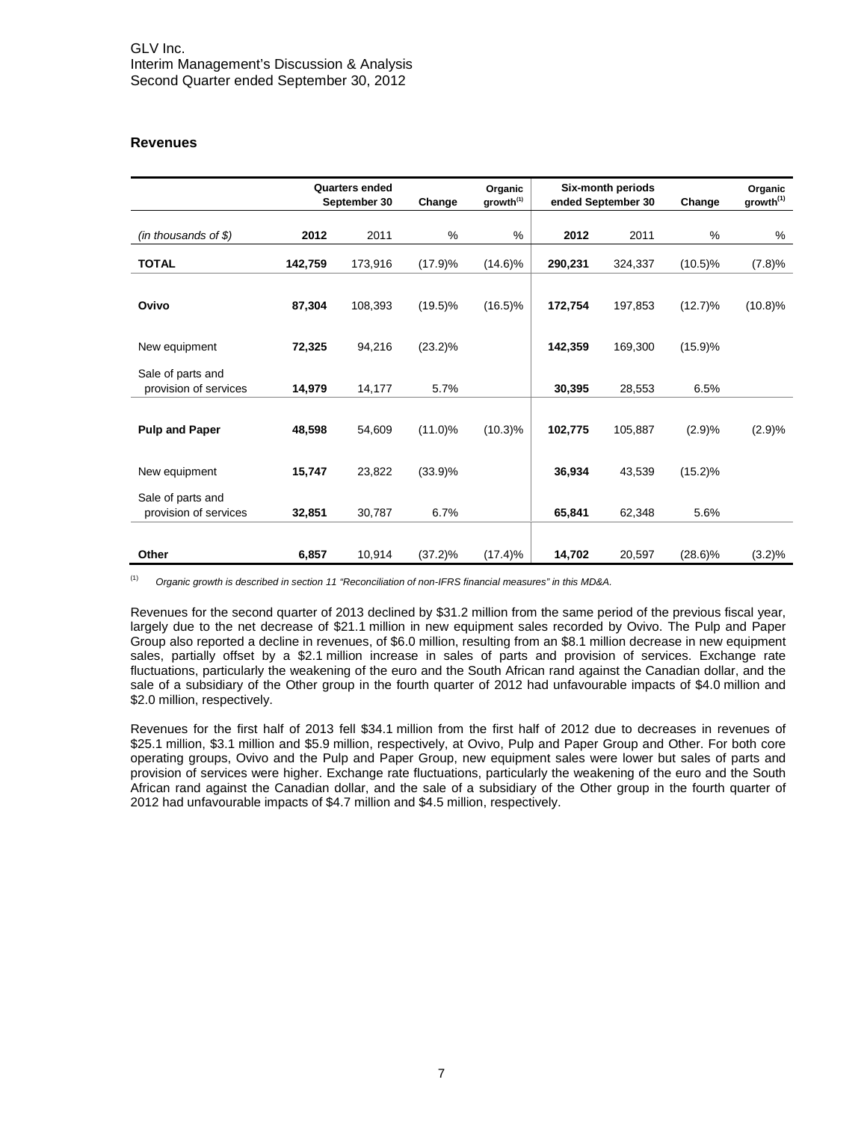#### **Revenues**

|                        | <b>Quarters ended</b><br>Organic<br>growth <sup>(1)</sup><br>September 30<br>Change |         |            | Six-month periods<br>ended September 30 | Change  | Organic<br>growth <sup>(1)</sup> |            |            |
|------------------------|-------------------------------------------------------------------------------------|---------|------------|-----------------------------------------|---------|----------------------------------|------------|------------|
| (in thousands of $$$ ) | 2012                                                                                | 2011    | %          | %                                       | 2012    | 2011                             | %          | %          |
|                        |                                                                                     |         |            |                                         |         |                                  |            |            |
| <b>TOTAL</b>           | 142,759                                                                             | 173,916 | (17.9)%    | $(14.6)\%$                              | 290,231 | 324,337                          | $(10.5)\%$ | (7.8)%     |
|                        |                                                                                     |         |            |                                         |         |                                  |            |            |
| Ovivo                  | 87,304                                                                              | 108,393 | $(19.5)\%$ | $(16.5)\%$                              | 172,754 | 197,853                          | $(12.7)\%$ | $(10.8)\%$ |
| New equipment          | 72,325                                                                              | 94,216  | $(23.2)\%$ |                                         | 142,359 | 169,300                          | (15.9)%    |            |
|                        |                                                                                     |         |            |                                         |         |                                  |            |            |
| Sale of parts and      |                                                                                     |         |            |                                         |         |                                  |            |            |
| provision of services  | 14,979                                                                              | 14,177  | 5.7%       |                                         | 30,395  | 28,553                           | 6.5%       |            |
|                        |                                                                                     |         |            |                                         |         |                                  |            |            |
| <b>Pulp and Paper</b>  | 48,598                                                                              | 54,609  | $(11.0)\%$ | $(10.3)\%$                              | 102,775 | 105,887                          | (2.9)%     | (2.9)%     |
|                        |                                                                                     |         |            |                                         |         |                                  |            |            |
| New equipment          | 15,747                                                                              | 23,822  | $(33.9)\%$ |                                         | 36,934  | 43,539                           | $(15.2)\%$ |            |
| Sale of parts and      |                                                                                     |         |            |                                         |         |                                  |            |            |
| provision of services  | 32,851                                                                              | 30,787  | 6.7%       |                                         | 65,841  | 62,348                           | 5.6%       |            |
|                        |                                                                                     |         |            |                                         |         |                                  |            |            |
| Other                  | 6,857                                                                               | 10,914  | $(37.2)\%$ | (17.4)%                                 | 14,702  | 20,597                           | $(28.6)\%$ | $(3.2)\%$  |

(1) *Organic growth is described in section 11 "Reconciliation of non-IFRS financial measures" in this MD&A.*

Revenues for the second quarter of 2013 declined by \$31.2 million from the same period of the previous fiscal year, largely due to the net decrease of \$21.1 million in new equipment sales recorded by Ovivo. The Pulp and Paper Group also reported a decline in revenues, of \$6.0 million, resulting from an \$8.1 million decrease in new equipment sales, partially offset by a \$2.1 million increase in sales of parts and provision of services. Exchange rate fluctuations, particularly the weakening of the euro and the South African rand against the Canadian dollar, and the sale of a subsidiary of the Other group in the fourth quarter of 2012 had unfavourable impacts of \$4.0 million and \$2.0 million, respectively.

Revenues for the first half of 2013 fell \$34.1 million from the first half of 2012 due to decreases in revenues of \$25.1 million, \$3.1 million and \$5.9 million, respectively, at Ovivo, Pulp and Paper Group and Other. For both core operating groups, Ovivo and the Pulp and Paper Group, new equipment sales were lower but sales of parts and provision of services were higher. Exchange rate fluctuations, particularly the weakening of the euro and the South African rand against the Canadian dollar, and the sale of a subsidiary of the Other group in the fourth quarter of 2012 had unfavourable impacts of \$4.7 million and \$4.5 million, respectively.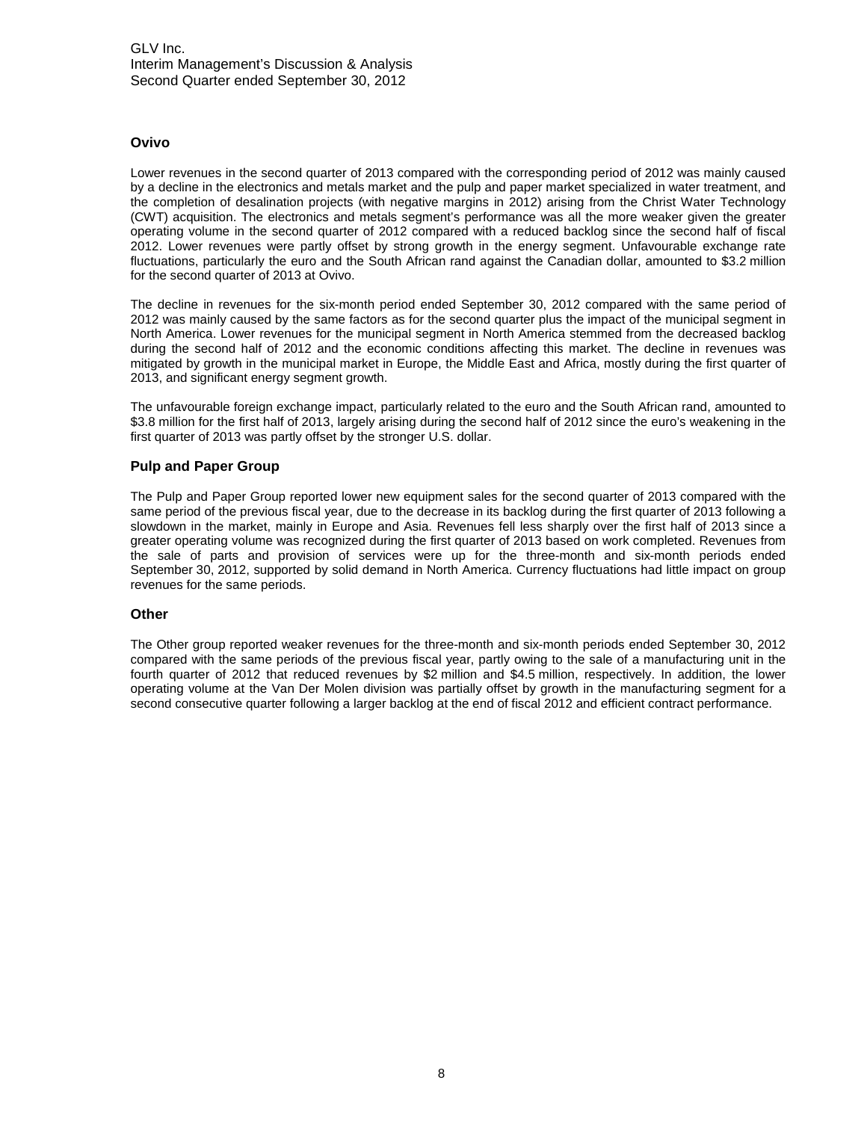#### **Ovivo**

Lower revenues in the second quarter of 2013 compared with the corresponding period of 2012 was mainly caused by a decline in the electronics and metals market and the pulp and paper market specialized in water treatment, and the completion of desalination projects (with negative margins in 2012) arising from the Christ Water Technology (CWT) acquisition. The electronics and metals segment's performance was all the more weaker given the greater operating volume in the second quarter of 2012 compared with a reduced backlog since the second half of fiscal 2012. Lower revenues were partly offset by strong growth in the energy segment. Unfavourable exchange rate fluctuations, particularly the euro and the South African rand against the Canadian dollar, amounted to \$3.2 million for the second quarter of 2013 at Ovivo.

The decline in revenues for the six-month period ended September 30, 2012 compared with the same period of 2012 was mainly caused by the same factors as for the second quarter plus the impact of the municipal segment in North America. Lower revenues for the municipal segment in North America stemmed from the decreased backlog during the second half of 2012 and the economic conditions affecting this market. The decline in revenues was mitigated by growth in the municipal market in Europe, the Middle East and Africa, mostly during the first quarter of 2013, and significant energy segment growth.

The unfavourable foreign exchange impact, particularly related to the euro and the South African rand, amounted to \$3.8 million for the first half of 2013, largely arising during the second half of 2012 since the euro's weakening in the first quarter of 2013 was partly offset by the stronger U.S. dollar.

#### **Pulp and Paper Group**

The Pulp and Paper Group reported lower new equipment sales for the second quarter of 2013 compared with the same period of the previous fiscal year, due to the decrease in its backlog during the first quarter of 2013 following a slowdown in the market, mainly in Europe and Asia. Revenues fell less sharply over the first half of 2013 since a greater operating volume was recognized during the first quarter of 2013 based on work completed. Revenues from the sale of parts and provision of services were up for the three-month and six-month periods ended September 30, 2012, supported by solid demand in North America. Currency fluctuations had little impact on group revenues for the same periods.

#### **Other**

The Other group reported weaker revenues for the three-month and six-month periods ended September 30, 2012 compared with the same periods of the previous fiscal year, partly owing to the sale of a manufacturing unit in the fourth quarter of 2012 that reduced revenues by \$2 million and \$4.5 million, respectively. In addition, the lower operating volume at the Van Der Molen division was partially offset by growth in the manufacturing segment for a second consecutive quarter following a larger backlog at the end of fiscal 2012 and efficient contract performance.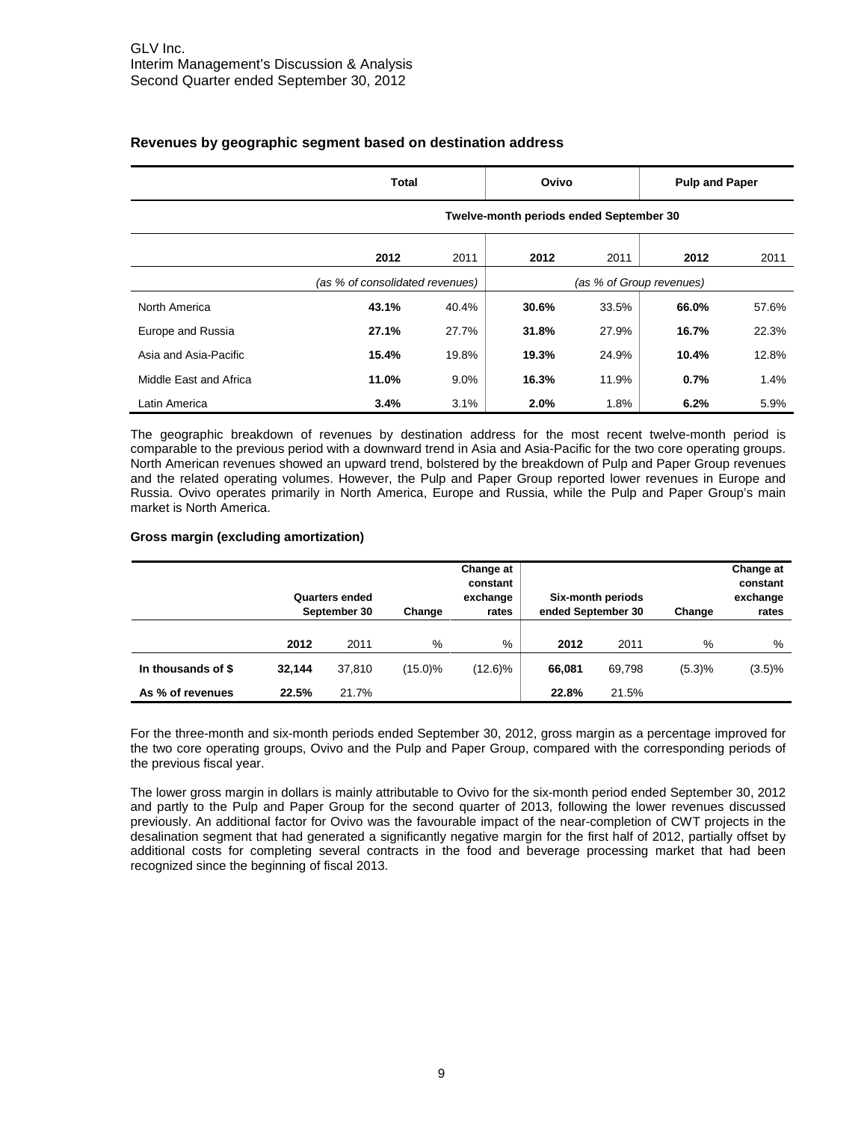|                        | <b>Total</b>                    |       | Ovivo                                   |       | <b>Pulp and Paper</b> |       |
|------------------------|---------------------------------|-------|-----------------------------------------|-------|-----------------------|-------|
|                        |                                 |       | Twelve-month periods ended September 30 |       |                       |       |
|                        | 2012                            | 2011  | 2012                                    | 2011  | 2012                  | 2011  |
|                        | (as % of consolidated revenues) |       |                                         |       |                       |       |
| North America          | 43.1%                           | 40.4% | 30.6%                                   | 33.5% | 66.0%                 | 57.6% |
| Europe and Russia      | 27.1%                           | 27.7% | 31.8%                                   | 27.9% | 16.7%                 | 22.3% |
| Asia and Asia-Pacific  | 15.4%                           | 19.8% | 19.3%                                   | 24.9% | 10.4%                 | 12.8% |
| Middle East and Africa | 11.0%                           | 9.0%  | 16.3%                                   | 11.9% | 0.7%                  | 1.4%  |
| Latin America          | 3.4%                            | 3.1%  | 2.0%                                    | 1.8%  | 6.2%                  | 5.9%  |

#### **Revenues by geographic segment based on destination address**

The geographic breakdown of revenues by destination address for the most recent twelve-month period is comparable to the previous period with a downward trend in Asia and Asia-Pacific for the two core operating groups. North American revenues showed an upward trend, bolstered by the breakdown of Pulp and Paper Group revenues and the related operating volumes. However, the Pulp and Paper Group reported lower revenues in Europe and Russia. Ovivo operates primarily in North America, Europe and Russia, while the Pulp and Paper Group's main market is North America.

#### **Gross margin (excluding amortization)**

|                    | Quarters ended<br>September 30 |        | Change  | Change at<br>constant<br>exchange<br>rates | ended September 30 | Six-month periods | Change | Change at<br>constant<br>exchange<br>rates |
|--------------------|--------------------------------|--------|---------|--------------------------------------------|--------------------|-------------------|--------|--------------------------------------------|
|                    | 2012                           | 2011   | %       | $\%$                                       | 2012               | 2011              | %      | %                                          |
| In thousands of \$ | 32.144                         | 37.810 | (15.0)% | $(12.6)\%$                                 | 66.081             | 69.798            | (5.3)% | (3.5)%                                     |
| As % of revenues   | 22.5%                          | 21.7%  |         |                                            | 22.8%              | 21.5%             |        |                                            |

For the three-month and six-month periods ended September 30, 2012, gross margin as a percentage improved for the two core operating groups, Ovivo and the Pulp and Paper Group, compared with the corresponding periods of the previous fiscal year.

The lower gross margin in dollars is mainly attributable to Ovivo for the six-month period ended September 30, 2012 and partly to the Pulp and Paper Group for the second quarter of 2013, following the lower revenues discussed previously. An additional factor for Ovivo was the favourable impact of the near-completion of CWT projects in the desalination segment that had generated a significantly negative margin for the first half of 2012, partially offset by additional costs for completing several contracts in the food and beverage processing market that had been recognized since the beginning of fiscal 2013.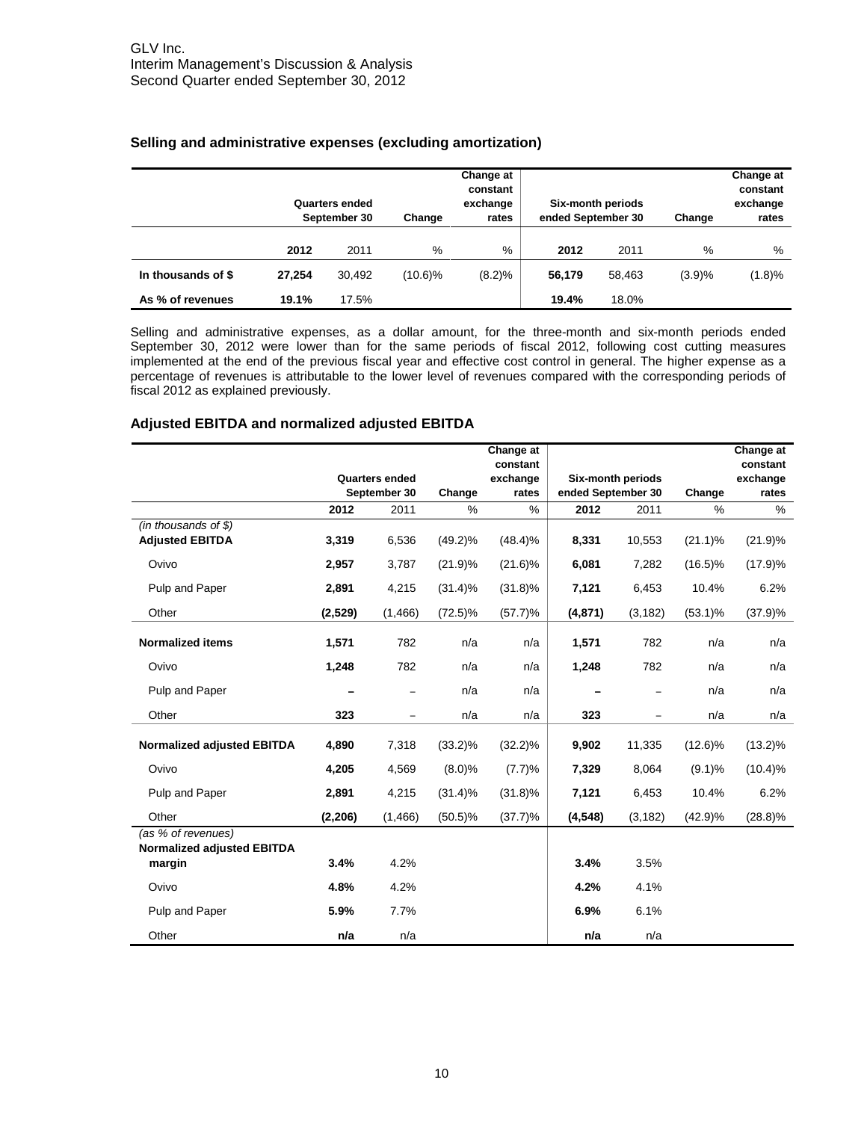|                    | Quarters ended<br>September 30 |        | Change  | Change at<br>constant<br>exchange<br>rates | ended September 30 | Six-month periods | Change | Change at<br>constant<br>exchange<br>rates |
|--------------------|--------------------------------|--------|---------|--------------------------------------------|--------------------|-------------------|--------|--------------------------------------------|
|                    | 2012                           | 2011   | $\%$    | %                                          | 2012               | 2011              | %      | %                                          |
| In thousands of \$ | 27.254                         | 30.492 | (10.6)% | (8.2)%                                     | 56.179             | 58.463            | (3.9)% | (1.8)%                                     |
| As % of revenues   | 19.1%                          | 17.5%  |         |                                            | 19.4%              | 18.0%             |        |                                            |

#### **Selling and administrative expenses (excluding amortization)**

Selling and administrative expenses, as a dollar amount, for the three-month and six-month periods ended September 30, 2012 were lower than for the same periods of fiscal 2012, following cost cutting measures implemented at the end of the previous fiscal year and effective cost control in general. The higher expense as a percentage of revenues is attributable to the lower level of revenues compared with the corresponding periods of fiscal 2012 as explained previously.

#### **Adjusted EBITDA and normalized adjusted EBITDA**

|                                             |          |                       |            | Change at            |                    |                   |            | Change at            |
|---------------------------------------------|----------|-----------------------|------------|----------------------|--------------------|-------------------|------------|----------------------|
|                                             |          | <b>Quarters ended</b> |            | constant<br>exchange |                    | Six-month periods |            | constant<br>exchange |
|                                             |          | September 30          | Change     | rates                | ended September 30 |                   | Change     | rates                |
|                                             | 2012     | 2011                  | %          | $\%$                 | 2012               | 2011              | %          | %                    |
| $(in$ thousands of \$)                      |          |                       |            |                      |                    |                   |            |                      |
| <b>Adjusted EBITDA</b>                      | 3,319    | 6,536                 | $(49.2)\%$ | $(48.4)\%$           | 8,331              | 10,553            | $(21.1)\%$ | (21.9)%              |
| Ovivo                                       | 2,957    | 3,787                 | (21.9)%    | $(21.6)\%$           | 6,081              | 7,282             | $(16.5)\%$ | (17.9)%              |
| Pulp and Paper                              | 2,891    | 4,215                 | $(31.4)\%$ | $(31.8)\%$           | 7,121              | 6,453             | 10.4%      | 6.2%                 |
| Other                                       | (2, 529) | (1, 466)              | $(72.5)\%$ | (57.7)%              | (4, 871)           | (3, 182)          | $(53.1)\%$ | $(37.9)\%$           |
| <b>Normalized items</b>                     | 1,571    | 782                   | n/a        | n/a                  | 1,571              | 782               | n/a        | n/a                  |
| Ovivo                                       | 1,248    | 782                   | n/a        | n/a                  | 1,248              | 782               | n/a        | n/a                  |
| Pulp and Paper                              |          | -                     | n/a        | n/a                  |                    |                   | n/a        | n/a                  |
| Other                                       | 323      | -                     | n/a        | n/a                  | 323                | -                 | n/a        | n/a                  |
| <b>Normalized adjusted EBITDA</b>           | 4,890    | 7,318                 | $(33.2)\%$ | $(32.2)\%$           | 9,902              | 11,335            | $(12.6)\%$ | $(13.2)\%$           |
| Ovivo                                       | 4,205    | 4,569                 | (8.0)%     | (7.7)%               | 7,329              | 8,064             | $(9.1)\%$  | $(10.4)\%$           |
| Pulp and Paper                              | 2,891    | 4,215                 | (31.4)%    | $(31.8)\%$           | 7,121              | 6,453             | 10.4%      | 6.2%                 |
| Other                                       | (2, 206) | (1, 466)              | $(50.5)\%$ | $(37.7)\%$           | (4, 548)           | (3, 182)          | (42.9)%    | $(28.8)\%$           |
| (as % of revenues)                          |          |                       |            |                      |                    |                   |            |                      |
| <b>Normalized adjusted EBITDA</b><br>margin | 3.4%     | 4.2%                  |            |                      | 3.4%               | 3.5%              |            |                      |
| Ovivo                                       | 4.8%     | 4.2%                  |            |                      | 4.2%               | 4.1%              |            |                      |
| Pulp and Paper                              | 5.9%     | 7.7%                  |            |                      | 6.9%               | 6.1%              |            |                      |
| Other                                       | n/a      | n/a                   |            |                      | n/a                | n/a               |            |                      |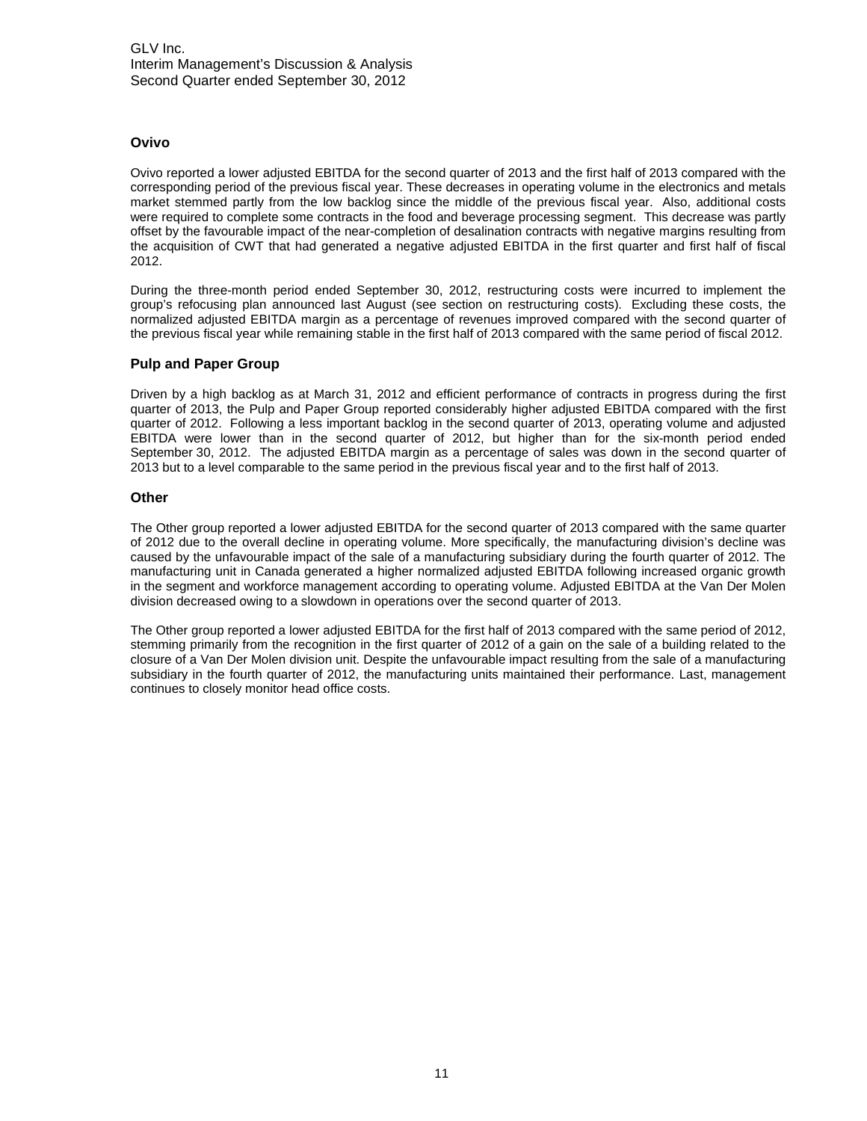#### **Ovivo**

Ovivo reported a lower adjusted EBITDA for the second quarter of 2013 and the first half of 2013 compared with the corresponding period of the previous fiscal year. These decreases in operating volume in the electronics and metals market stemmed partly from the low backlog since the middle of the previous fiscal year. Also, additional costs were required to complete some contracts in the food and beverage processing segment. This decrease was partly offset by the favourable impact of the near-completion of desalination contracts with negative margins resulting from the acquisition of CWT that had generated a negative adjusted EBITDA in the first quarter and first half of fiscal 2012.

During the three-month period ended September 30, 2012, restructuring costs were incurred to implement the group's refocusing plan announced last August (see section on restructuring costs). Excluding these costs, the normalized adjusted EBITDA margin as a percentage of revenues improved compared with the second quarter of the previous fiscal year while remaining stable in the first half of 2013 compared with the same period of fiscal 2012.

#### **Pulp and Paper Group**

Driven by a high backlog as at March 31, 2012 and efficient performance of contracts in progress during the first quarter of 2013, the Pulp and Paper Group reported considerably higher adjusted EBITDA compared with the first quarter of 2012. Following a less important backlog in the second quarter of 2013, operating volume and adjusted EBITDA were lower than in the second quarter of 2012, but higher than for the six-month period ended September 30, 2012. The adjusted EBITDA margin as a percentage of sales was down in the second quarter of 2013 but to a level comparable to the same period in the previous fiscal year and to the first half of 2013.

#### **Other**

The Other group reported a lower adjusted EBITDA for the second quarter of 2013 compared with the same quarter of 2012 due to the overall decline in operating volume. More specifically, the manufacturing division's decline was caused by the unfavourable impact of the sale of a manufacturing subsidiary during the fourth quarter of 2012. The manufacturing unit in Canada generated a higher normalized adjusted EBITDA following increased organic growth in the segment and workforce management according to operating volume. Adjusted EBITDA at the Van Der Molen division decreased owing to a slowdown in operations over the second quarter of 2013.

The Other group reported a lower adjusted EBITDA for the first half of 2013 compared with the same period of 2012, stemming primarily from the recognition in the first quarter of 2012 of a gain on the sale of a building related to the closure of a Van Der Molen division unit. Despite the unfavourable impact resulting from the sale of a manufacturing subsidiary in the fourth quarter of 2012, the manufacturing units maintained their performance. Last, management continues to closely monitor head office costs.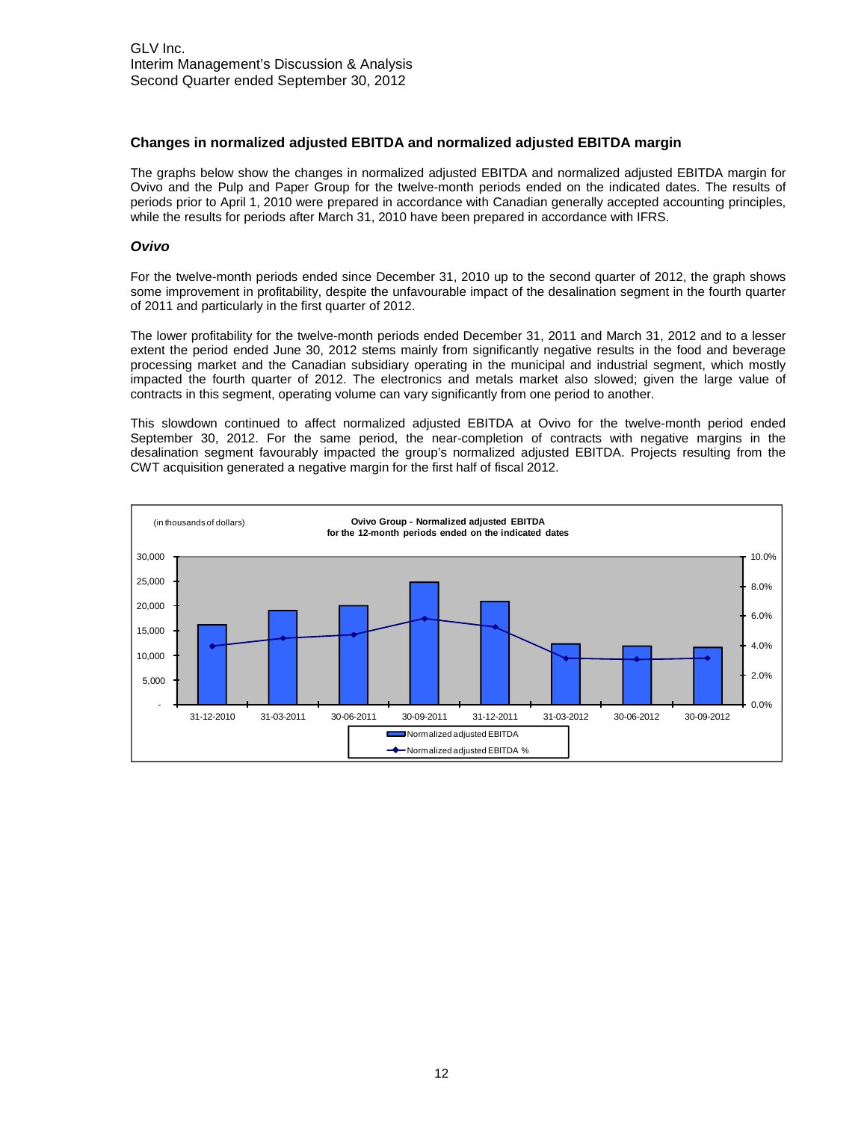#### **Changes in normalized adjusted EBITDA and normalized adjusted EBITDA margin**

The graphs below show the changes in normalized adjusted EBITDA and normalized adjusted EBITDA margin for Ovivo and the Pulp and Paper Group for the twelve-month periods ended on the indicated dates. The results of periods prior to April 1, 2010 were prepared in accordance with Canadian generally accepted accounting principles, while the results for periods after March 31, 2010 have been prepared in accordance with IFRS.

#### *Ovivo*

For the twelve-month periods ended since December 31, 2010 up to the second quarter of 2012, the graph shows some improvement in profitability, despite the unfavourable impact of the desalination segment in the fourth quarter of 2011 and particularly in the first quarter of 2012.

The lower profitability for the twelve-month periods ended December 31, 2011 and March 31, 2012 and to a lesser extent the period ended June 30, 2012 stems mainly from significantly negative results in the food and beverage processing market and the Canadian subsidiary operating in the municipal and industrial segment, which mostly impacted the fourth quarter of 2012. The electronics and metals market also slowed; given the large value of contracts in this segment, operating volume can vary significantly from one period to another.

This slowdown continued to affect normalized adjusted EBITDA at Ovivo for the twelve-month period ended September 30, 2012. For the same period, the near-completion of contracts with negative margins in the desalination segment favourably impacted the group's normalized adjusted EBITDA. Projects resulting from the CWT acquisition generated a negative margin for the first half of fiscal 2012.

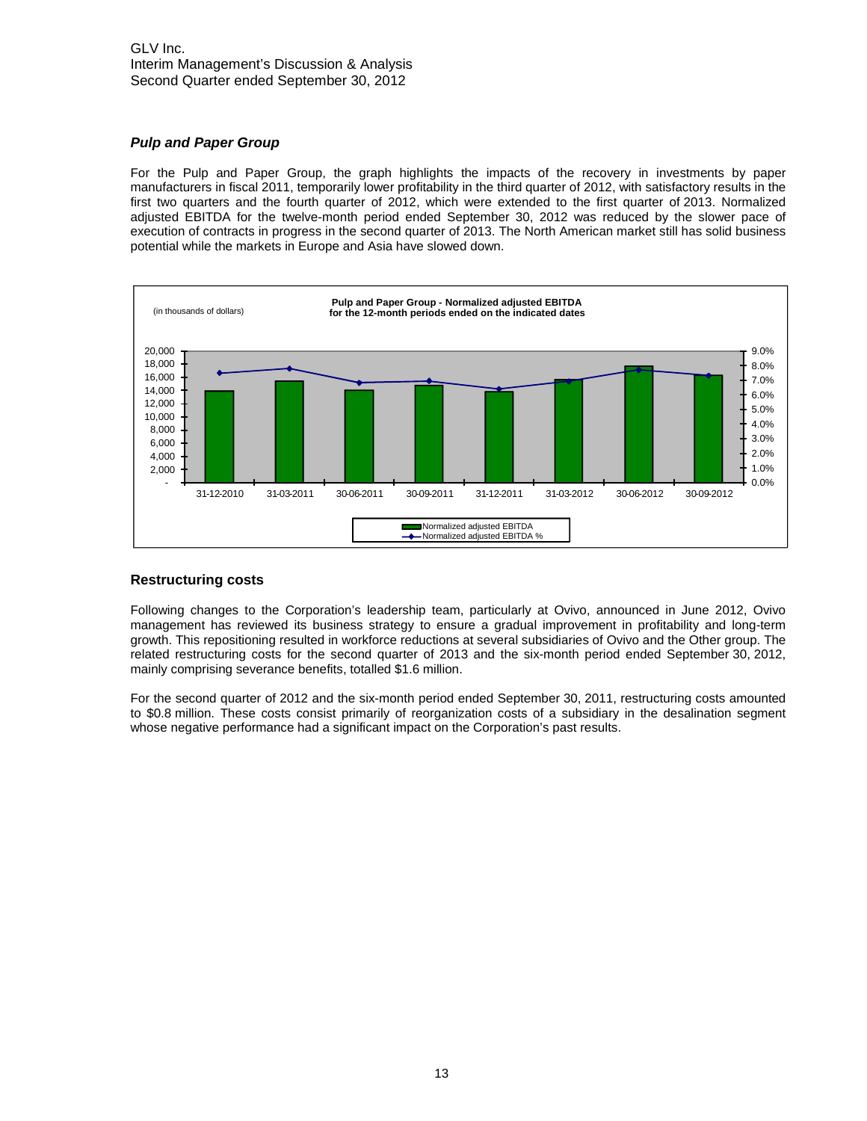#### *Pulp and Paper Group*

For the Pulp and Paper Group, the graph highlights the impacts of the recovery in investments by paper manufacturers in fiscal 2011, temporarily lower profitability in the third quarter of 2012, with satisfactory results in the first two quarters and the fourth quarter of 2012, which were extended to the first quarter of 2013. Normalized adjusted EBITDA for the twelve-month period ended September 30, 2012 was reduced by the slower pace of execution of contracts in progress in the second quarter of 2013. The North American market still has solid business potential while the markets in Europe and Asia have slowed down.



#### **Restructuring costs**

Following changes to the Corporation's leadership team, particularly at Ovivo, announced in June 2012, Ovivo management has reviewed its business strategy to ensure a gradual improvement in profitability and long-term growth. This repositioning resulted in workforce reductions at several subsidiaries of Ovivo and the Other group. The related restructuring costs for the second quarter of 2013 and the six-month period ended September 30, 2012, mainly comprising severance benefits, totalled \$1.6 million.

For the second quarter of 2012 and the six-month period ended September 30, 2011, restructuring costs amounted to \$0.8 million. These costs consist primarily of reorganization costs of a subsidiary in the desalination segment whose negative performance had a significant impact on the Corporation's past results.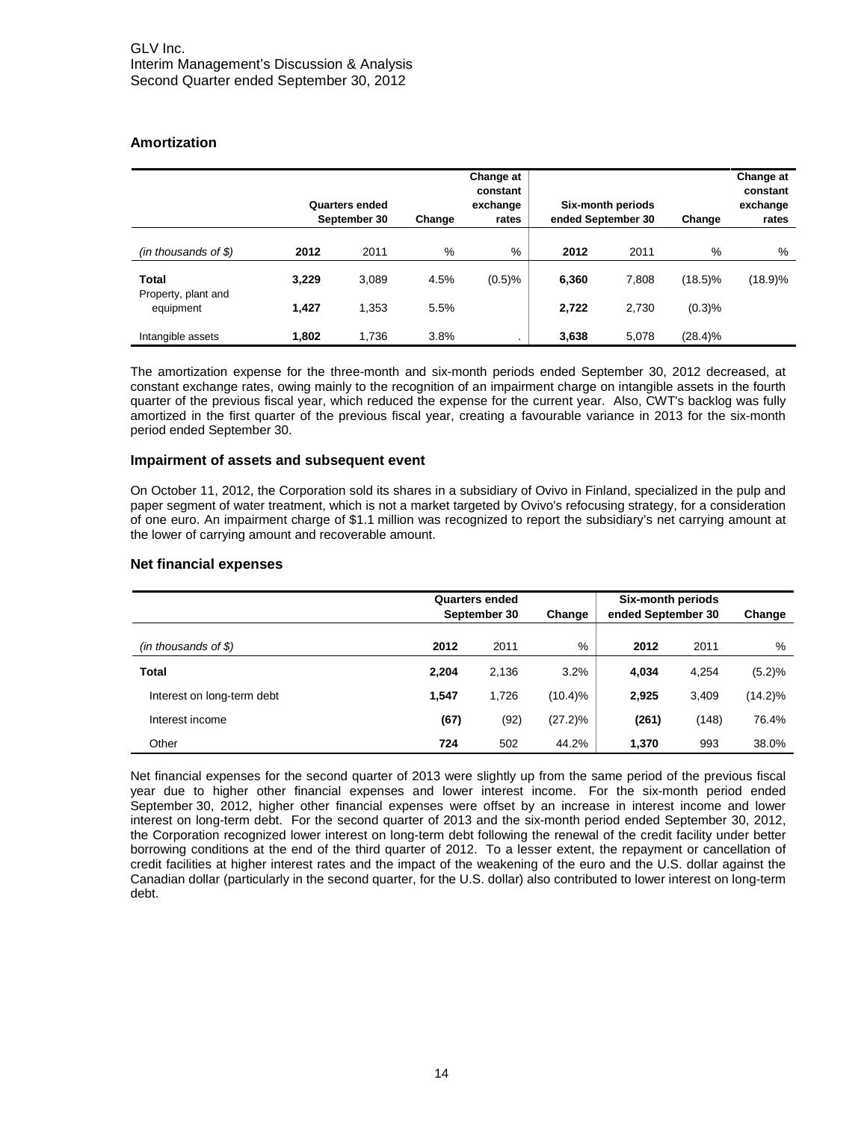#### **Amortization**

|                                  |       | Quarters ended<br>September 30 | Change | Change at<br>constant<br>exchange<br>rates | ended September 30 | Six-month periods | Change     | Change at<br>constant<br>exchange<br>rates |
|----------------------------------|-------|--------------------------------|--------|--------------------------------------------|--------------------|-------------------|------------|--------------------------------------------|
| (in thousands of $$$ )           | 2012  | 2011                           | %      | $\%$                                       | 2012               | 2011              | %          | %                                          |
| <b>Total</b>                     | 3,229 | 3.089                          | 4.5%   | (0.5)%                                     | 6,360              | 7,808             | $(18.5)\%$ | (18.9)%                                    |
| Property, plant and<br>equipment | 1,427 | 1,353                          | 5.5%   |                                            | 2,722              | 2,730             | (0.3)%     |                                            |
| Intangible assets                | 1.802 | 1.736                          | 3.8%   |                                            | 3,638              | 5,078             | $(28.4)\%$ |                                            |

The amortization expense for the three-month and six-month periods ended September 30, 2012 decreased, at constant exchange rates, owing mainly to the recognition of an impairment charge on intangible assets in the fourth quarter of the previous fiscal year, which reduced the expense for the current year. Also, CWT's backlog was fully amortized in the first quarter of the previous fiscal year, creating a favourable variance in 2013 for the six-month period ended September 30.

#### **Impairment of assets and subsequent event**

On October 11, 2012, the Corporation sold its shares in a subsidiary of Ovivo in Finland, specialized in the pulp and paper segment of water treatment, which is not a market targeted by Ovivo's refocusing strategy, for a consideration of one euro. An impairment charge of \$1.1 million was recognized to report the subsidiary's net carrying amount at the lower of carrying amount and recoverable amount.

#### **Net financial expenses**

|                            |       | <b>Quarters ended</b><br>September 30 |            |       | <b>Six-month periods</b><br>ended September 30 |            |
|----------------------------|-------|---------------------------------------|------------|-------|------------------------------------------------|------------|
| $(in$ thousands of \$)     | 2012  | 2011                                  | %          | 2012  | 2011                                           | %          |
| <b>Total</b>               | 2,204 | 2,136                                 | 3.2%       | 4,034 | 4,254                                          | (5.2)%     |
| Interest on long-term debt | 1.547 | 1,726                                 | $(10.4)\%$ | 2,925 | 3,409                                          | $(14.2)\%$ |
| Interest income            | (67)  | (92)                                  | $(27.2)\%$ | (261) | (148)                                          | 76.4%      |
| Other                      | 724   | 502                                   | 44.2%      | 1,370 | 993                                            | 38.0%      |

Net financial expenses for the second quarter of 2013 were slightly up from the same period of the previous fiscal year due to higher other financial expenses and lower interest income. For the six-month period ended September 30, 2012, higher other financial expenses were offset by an increase in interest income and lower interest on long-term debt. For the second quarter of 2013 and the six-month period ended September 30, 2012, the Corporation recognized lower interest on long-term debt following the renewal of the credit facility under better borrowing conditions at the end of the third quarter of 2012. To a lesser extent, the repayment or cancellation of credit facilities at higher interest rates and the impact of the weakening of the euro and the U.S. dollar against the Canadian dollar (particularly in the second quarter, for the U.S. dollar) also contributed to lower interest on long-term debt.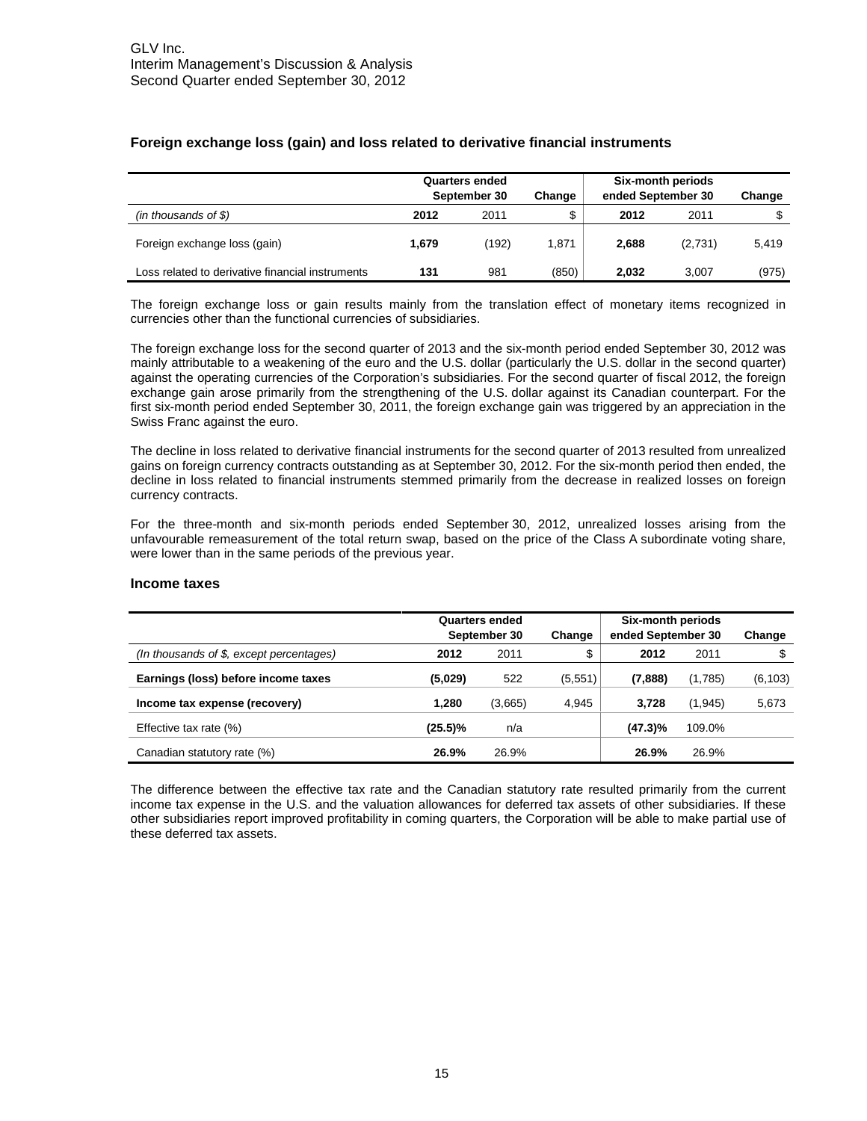|                                                  | <b>Quarters ended</b><br>September 30 |       | ended September 30<br>Change |       | Six-month periods | Change |
|--------------------------------------------------|---------------------------------------|-------|------------------------------|-------|-------------------|--------|
| (in thousands of $$)$                            | 2012                                  | 2011  | \$                           | 2012  | 2011              | \$     |
| Foreign exchange loss (gain)                     | 1,679                                 | (192) | 1,871                        | 2,688 | (2,731)           | 5,419  |
| Loss related to derivative financial instruments | 131                                   | 981   | (850)                        | 2.032 | 3.007             | (975)  |

#### **Foreign exchange loss (gain) and loss related to derivative financial instruments**

The foreign exchange loss or gain results mainly from the translation effect of monetary items recognized in currencies other than the functional currencies of subsidiaries.

The foreign exchange loss for the second quarter of 2013 and the six-month period ended September 30, 2012 was mainly attributable to a weakening of the euro and the U.S. dollar (particularly the U.S. dollar in the second quarter) against the operating currencies of the Corporation's subsidiaries. For the second quarter of fiscal 2012, the foreign exchange gain arose primarily from the strengthening of the U.S. dollar against its Canadian counterpart. For the first six-month period ended September 30, 2011, the foreign exchange gain was triggered by an appreciation in the Swiss Franc against the euro.

The decline in loss related to derivative financial instruments for the second quarter of 2013 resulted from unrealized gains on foreign currency contracts outstanding as at September 30, 2012. For the six-month period then ended, the decline in loss related to financial instruments stemmed primarily from the decrease in realized losses on foreign currency contracts.

For the three-month and six-month periods ended September 30, 2012, unrealized losses arising from the unfavourable remeasurement of the total return swap, based on the price of the Class A subordinate voting share, were lower than in the same periods of the previous year.

#### **Income taxes**

|                                            | Quarters ended<br>September 30<br>Change |         |          | Six-month periods<br>ended September 30 | Change   |          |
|--------------------------------------------|------------------------------------------|---------|----------|-----------------------------------------|----------|----------|
| (In thousands of $$$ , except percentages) | 2012                                     | 2011    | \$       | 2012                                    | 2011     | \$       |
| Earnings (loss) before income taxes        | (5,029)                                  | 522     | (5, 551) | (7,888)                                 | (1,785)  | (6, 103) |
| Income tax expense (recovery)              | 1.280                                    | (3,665) | 4,945    | 3,728                                   | (1, 945) | 5,673    |
| Effective tax rate $(\%)$                  | (25.5)%                                  | n/a     |          | $(47.3)\%$                              | 109.0%   |          |
| Canadian statutory rate (%)                | 26.9%                                    | 26.9%   |          | 26.9%                                   | 26.9%    |          |

The difference between the effective tax rate and the Canadian statutory rate resulted primarily from the current income tax expense in the U.S. and the valuation allowances for deferred tax assets of other subsidiaries. If these other subsidiaries report improved profitability in coming quarters, the Corporation will be able to make partial use of these deferred tax assets.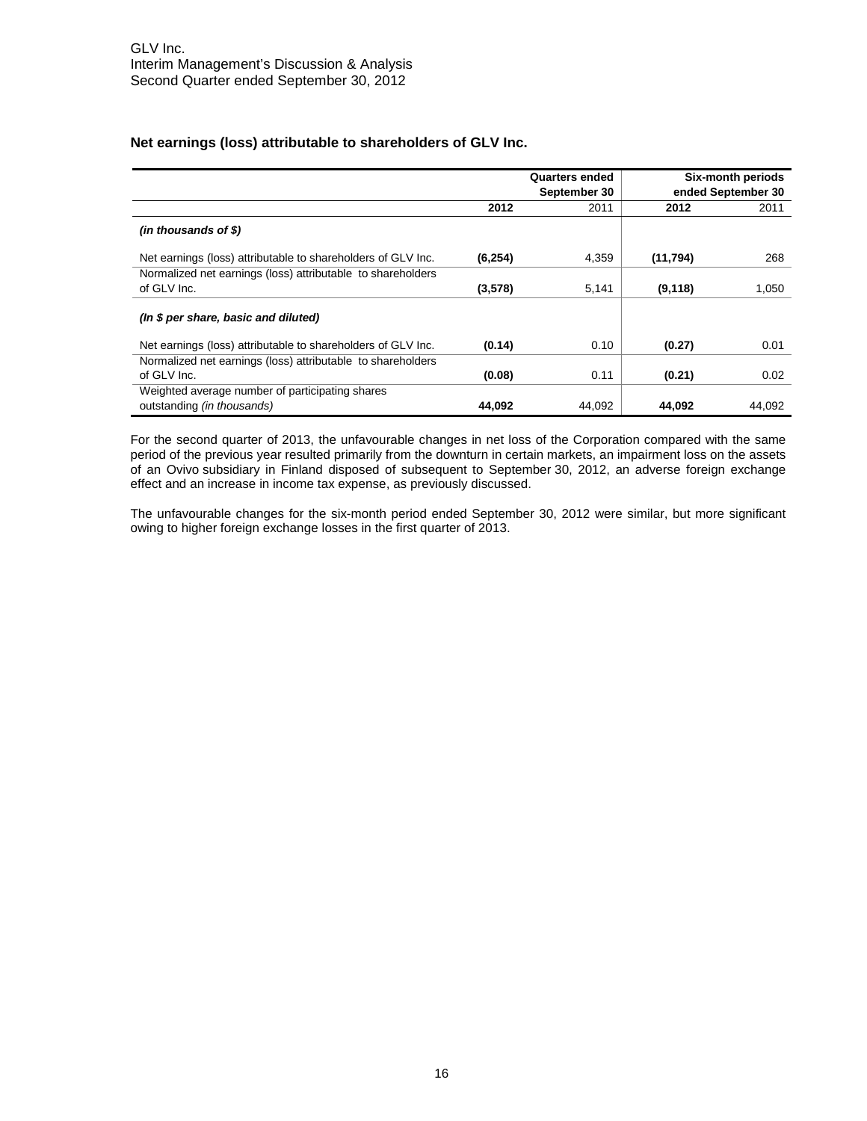#### **Net earnings (loss) attributable to shareholders of GLV Inc.**

|                                                              |          | <b>Quarters ended</b><br>September 30 |          | Six-month periods<br>ended September 30 |
|--------------------------------------------------------------|----------|---------------------------------------|----------|-----------------------------------------|
|                                                              | 2012     | 2011                                  | 2012     | 2011                                    |
| $(in$ thousands of \$)                                       |          |                                       |          |                                         |
| Net earnings (loss) attributable to shareholders of GLV Inc. | (6, 254) | 4,359                                 | (11,794) | 268                                     |
| Normalized net earnings (loss) attributable to shareholders  |          |                                       |          |                                         |
| of GLV Inc.                                                  | (3,578)  | 5,141                                 | (9, 118) | 1,050                                   |
| (In \$ per share, basic and diluted)                         |          |                                       |          |                                         |
| Net earnings (loss) attributable to shareholders of GLV Inc. | (0.14)   | 0.10                                  | (0.27)   | 0.01                                    |
| Normalized net earnings (loss) attributable to shareholders  |          |                                       |          |                                         |
| of GLV Inc.                                                  | (0.08)   | 0.11                                  | (0.21)   | 0.02                                    |
| Weighted average number of participating shares              |          |                                       |          |                                         |
| outstanding (in thousands)                                   | 44,092   | 44,092                                | 44,092   | 44.092                                  |

For the second quarter of 2013, the unfavourable changes in net loss of the Corporation compared with the same period of the previous year resulted primarily from the downturn in certain markets, an impairment loss on the assets of an Ovivo subsidiary in Finland disposed of subsequent to September 30, 2012, an adverse foreign exchange effect and an increase in income tax expense, as previously discussed.

The unfavourable changes for the six-month period ended September 30, 2012 were similar, but more significant owing to higher foreign exchange losses in the first quarter of 2013.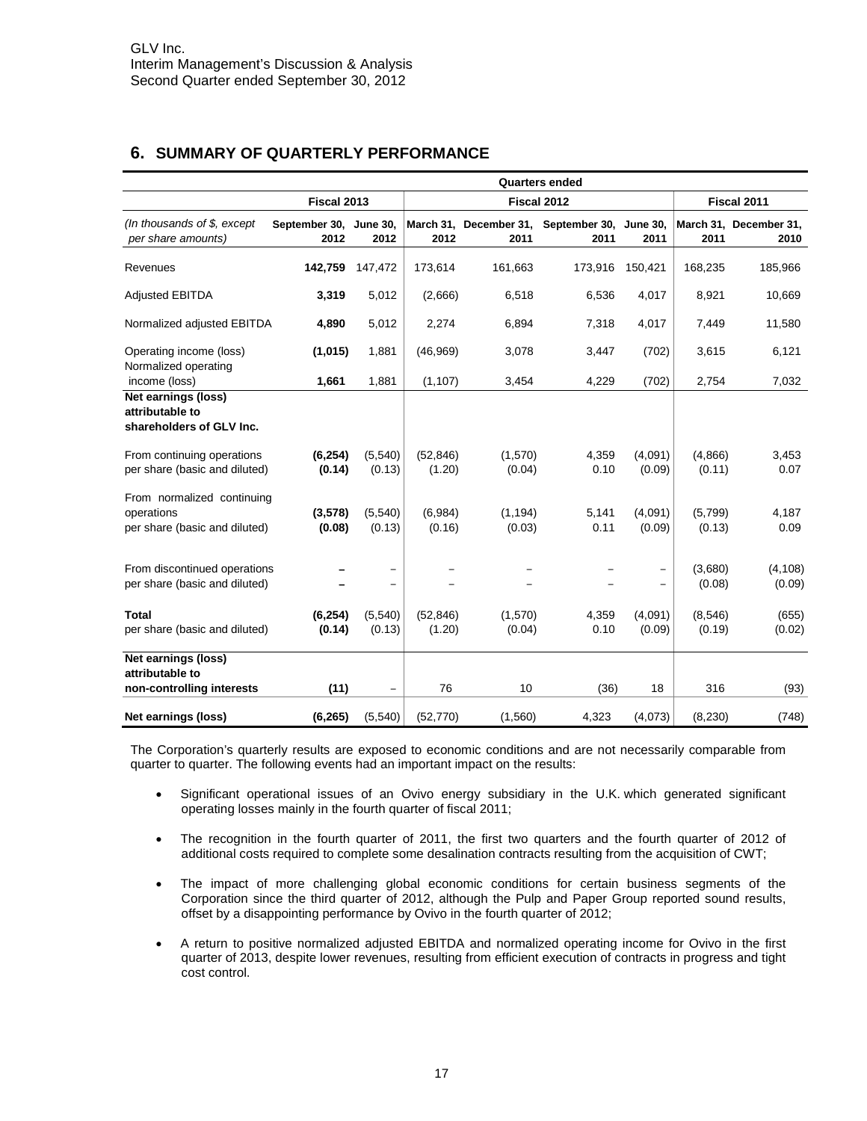## **6. SUMMARY OF QUARTERLY PERFORMANCE**

|                                                                           |                                | <b>Quarters ended</b> |                     |                    |                                                       |                          |                   |                                |  |
|---------------------------------------------------------------------------|--------------------------------|-----------------------|---------------------|--------------------|-------------------------------------------------------|--------------------------|-------------------|--------------------------------|--|
|                                                                           | Fiscal 2013                    |                       | Fiscal 2012         |                    |                                                       |                          | Fiscal 2011       |                                |  |
| (In thousands of $$$ , except<br>per share amounts)                       | September 30, June 30,<br>2012 | 2012                  | 2012                | 2011               | March 31, December 31, September 30, June 30,<br>2011 | 2011                     | 2011              | March 31, December 31,<br>2010 |  |
| Revenues                                                                  | 142,759                        | 147,472               | 173,614             | 161,663            | 173,916                                               | 150,421                  | 168,235           | 185,966                        |  |
| <b>Adjusted EBITDA</b>                                                    | 3,319                          | 5,012                 | (2,666)             | 6,518              | 6,536                                                 | 4,017                    | 8,921             | 10,669                         |  |
| Normalized adjusted EBITDA                                                | 4,890                          | 5,012                 | 2,274               | 6,894              | 7,318                                                 | 4,017                    | 7,449             | 11,580                         |  |
| Operating income (loss)<br>Normalized operating                           | (1,015)                        | 1,881                 | (46,969)            | 3,078              | 3,447                                                 | (702)                    | 3,615             | 6,121                          |  |
| income (loss)                                                             | 1,661                          | 1,881                 | (1, 107)            | 3,454              | 4,229                                                 | (702)                    | 2,754             | 7,032                          |  |
| Net earnings (loss)<br>attributable to<br>shareholders of GLV Inc.        |                                |                       |                     |                    |                                                       |                          |                   |                                |  |
| From continuing operations<br>per share (basic and diluted)               | (6, 254)<br>(0.14)             | (5,540)<br>(0.13)     | (52, 846)<br>(1.20) | (1,570)<br>(0.04)  | 4,359<br>0.10                                         | (4,091)<br>(0.09)        | (4,866)<br>(0.11) | 3,453<br>0.07                  |  |
| From normalized continuing<br>operations<br>per share (basic and diluted) | (3, 578)<br>(0.08)             | (5,540)<br>(0.13)     | (6,984)<br>(0.16)   | (1, 194)<br>(0.03) | 5,141<br>0.11                                         | (4,091)<br>(0.09)        | (5,799)<br>(0.13) | 4,187<br>0.09                  |  |
| From discontinued operations<br>per share (basic and diluted)             |                                |                       |                     |                    |                                                       | $\overline{\phantom{0}}$ | (3,680)<br>(0.08) | (4, 108)<br>(0.09)             |  |
| <b>Total</b><br>per share (basic and diluted)                             | (6, 254)<br>(0.14)             | (5,540)<br>(0.13)     | (52, 846)<br>(1.20) | (1,570)<br>(0.04)  | 4,359<br>0.10                                         | (4,091)<br>(0.09)        | (8,546)<br>(0.19) | (655)<br>(0.02)                |  |
| Net earnings (loss)<br>attributable to                                    |                                |                       |                     |                    |                                                       |                          |                   |                                |  |
| non-controlling interests                                                 | (11)                           |                       | 76                  | 10                 | (36)                                                  | 18                       | 316               | (93)                           |  |
| Net earnings (loss)                                                       | (6, 265)                       | (5,540)               | (52, 770)           | (1,560)            | 4,323                                                 | (4,073)                  | (8, 230)          | (748)                          |  |

The Corporation's quarterly results are exposed to economic conditions and are not necessarily comparable from quarter to quarter. The following events had an important impact on the results:

- Significant operational issues of an Ovivo energy subsidiary in the U.K. which generated significant operating losses mainly in the fourth quarter of fiscal 2011;
- The recognition in the fourth quarter of 2011, the first two quarters and the fourth quarter of 2012 of additional costs required to complete some desalination contracts resulting from the acquisition of CWT;
- The impact of more challenging global economic conditions for certain business segments of the Corporation since the third quarter of 2012, although the Pulp and Paper Group reported sound results, offset by a disappointing performance by Ovivo in the fourth quarter of 2012;
- A return to positive normalized adjusted EBITDA and normalized operating income for Ovivo in the first quarter of 2013, despite lower revenues, resulting from efficient execution of contracts in progress and tight cost control.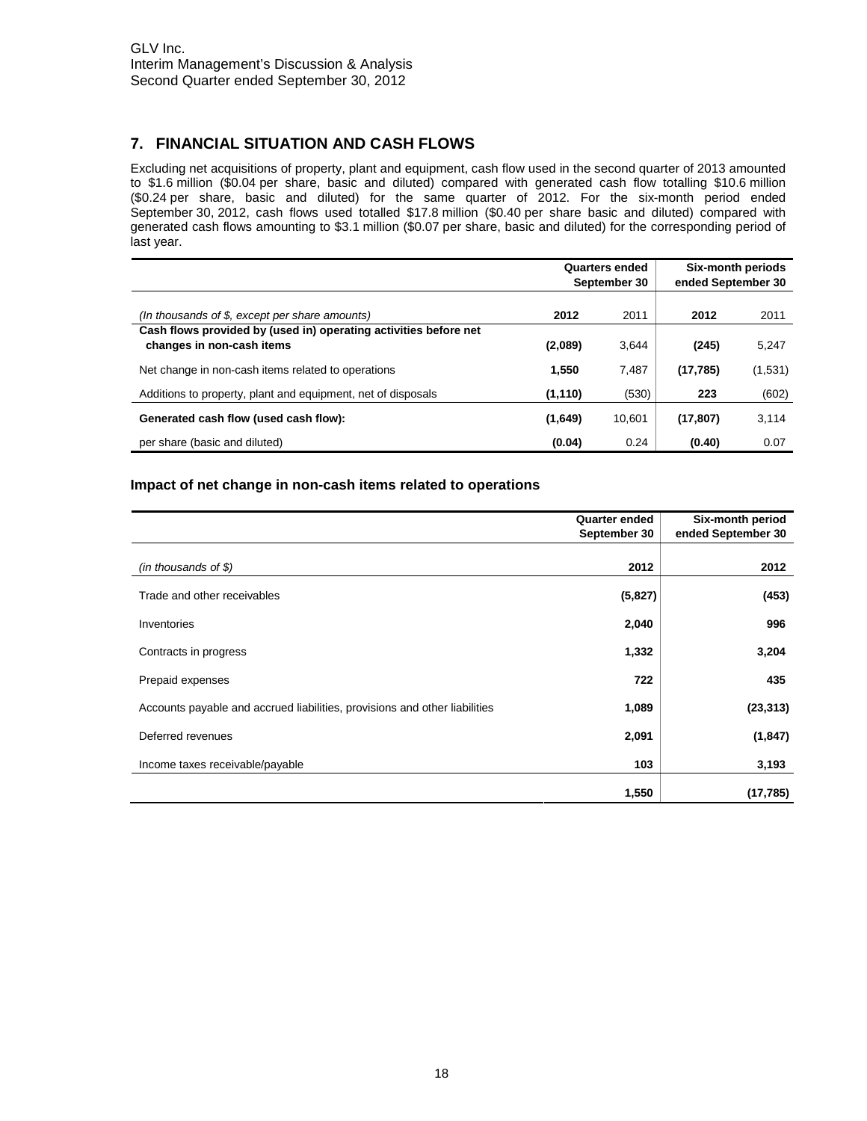## **7. FINANCIAL SITUATION AND CASH FLOWS**

Excluding net acquisitions of property, plant and equipment, cash flow used in the second quarter of 2013 amounted to \$1.6 million (\$0.04 per share, basic and diluted) compared with generated cash flow totalling \$10.6 million (\$0.24 per share, basic and diluted) for the same quarter of 2012. For the six-month period ended September 30, 2012, cash flows used totalled \$17.8 million (\$0.40 per share basic and diluted) compared with generated cash flows amounting to \$3.1 million (\$0.07 per share, basic and diluted) for the corresponding period of last year.

|                                                                                               | Quarters ended<br>September 30 |        | Six-month periods<br>ended September 30 |         |
|-----------------------------------------------------------------------------------------------|--------------------------------|--------|-----------------------------------------|---------|
| (In thousands of \$, except per share amounts)                                                | 2012                           | 2011   | 2012                                    | 2011    |
| Cash flows provided by (used in) operating activities before net<br>changes in non-cash items | (2,089)                        | 3,644  | (245)                                   | 5,247   |
| Net change in non-cash items related to operations                                            | 1.550                          | 7,487  | (17, 785)                               | (1,531) |
| Additions to property, plant and equipment, net of disposals                                  | (1, 110)                       | (530)  | 223                                     | (602)   |
| Generated cash flow (used cash flow):                                                         | (1,649)                        | 10.601 | (17, 807)                               | 3,114   |
| per share (basic and diluted)                                                                 | (0.04)                         | 0.24   | (0.40)                                  | 0.07    |

#### **Impact of net change in non-cash items related to operations**

|                                                                            | <b>Quarter ended</b><br>September 30 | Six-month period<br>ended September 30 |
|----------------------------------------------------------------------------|--------------------------------------|----------------------------------------|
| (in thousands of $$$ )                                                     | 2012                                 | 2012                                   |
| Trade and other receivables                                                | (5,827)                              | (453)                                  |
| Inventories                                                                | 2,040                                | 996                                    |
| Contracts in progress                                                      | 1,332                                | 3,204                                  |
| Prepaid expenses                                                           | 722                                  | 435                                    |
| Accounts payable and accrued liabilities, provisions and other liabilities | 1,089                                | (23, 313)                              |
| Deferred revenues                                                          | 2,091                                | (1, 847)                               |
| Income taxes receivable/payable                                            | 103                                  | 3,193                                  |
|                                                                            | 1,550                                | (17, 785)                              |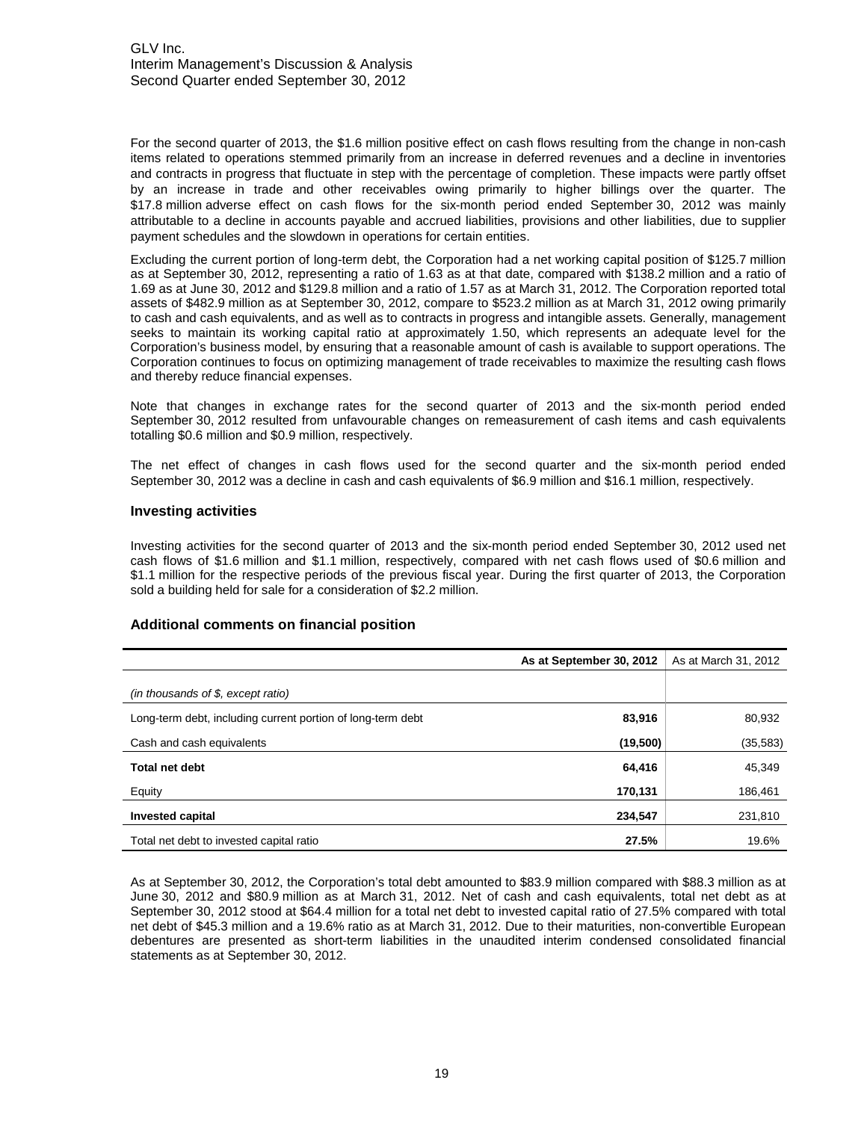For the second quarter of 2013, the \$1.6 million positive effect on cash flows resulting from the change in non-cash items related to operations stemmed primarily from an increase in deferred revenues and a decline in inventories and contracts in progress that fluctuate in step with the percentage of completion. These impacts were partly offset by an increase in trade and other receivables owing primarily to higher billings over the quarter. The \$17.8 million adverse effect on cash flows for the six-month period ended September 30, 2012 was mainly attributable to a decline in accounts payable and accrued liabilities, provisions and other liabilities, due to supplier payment schedules and the slowdown in operations for certain entities.

Excluding the current portion of long-term debt, the Corporation had a net working capital position of \$125.7 million as at September 30, 2012, representing a ratio of 1.63 as at that date, compared with \$138.2 million and a ratio of 1.69 as at June 30, 2012 and \$129.8 million and a ratio of 1.57 as at March 31, 2012. The Corporation reported total assets of \$482.9 million as at September 30, 2012, compare to \$523.2 million as at March 31, 2012 owing primarily to cash and cash equivalents, and as well as to contracts in progress and intangible assets. Generally, management seeks to maintain its working capital ratio at approximately 1.50, which represents an adequate level for the Corporation's business model, by ensuring that a reasonable amount of cash is available to support operations. The Corporation continues to focus on optimizing management of trade receivables to maximize the resulting cash flows and thereby reduce financial expenses.

Note that changes in exchange rates for the second quarter of 2013 and the six-month period ended September 30, 2012 resulted from unfavourable changes on remeasurement of cash items and cash equivalents totalling \$0.6 million and \$0.9 million, respectively.

The net effect of changes in cash flows used for the second quarter and the six-month period ended September 30, 2012 was a decline in cash and cash equivalents of \$6.9 million and \$16.1 million, respectively.

#### **Investing activities**

Investing activities for the second quarter of 2013 and the six-month period ended September 30, 2012 used net cash flows of \$1.6 million and \$1.1 million, respectively, compared with net cash flows used of \$0.6 million and \$1.1 million for the respective periods of the previous fiscal year. During the first quarter of 2013, the Corporation sold a building held for sale for a consideration of \$2.2 million.

#### **Additional comments on financial position**

|                                                             | As at September 30, 2012 | As at March 31, 2012 |
|-------------------------------------------------------------|--------------------------|----------------------|
| (in thousands of $$$ , except ratio)                        |                          |                      |
| Long-term debt, including current portion of long-term debt | 83,916                   | 80,932               |
| Cash and cash equivalents                                   | (19,500)                 | (35,583)             |
| <b>Total net debt</b>                                       | 64,416                   | 45,349               |
| Equity                                                      | 170,131                  | 186,461              |
| <b>Invested capital</b>                                     | 234,547                  | 231,810              |
| Total net debt to invested capital ratio                    | 27.5%                    | 19.6%                |

As at September 30, 2012, the Corporation's total debt amounted to \$83.9 million compared with \$88.3 million as at June 30, 2012 and \$80.9 million as at March 31, 2012. Net of cash and cash equivalents, total net debt as at September 30, 2012 stood at \$64.4 million for a total net debt to invested capital ratio of 27.5% compared with total net debt of \$45.3 million and a 19.6% ratio as at March 31, 2012. Due to their maturities, non-convertible European debentures are presented as short-term liabilities in the unaudited interim condensed consolidated financial statements as at September 30, 2012.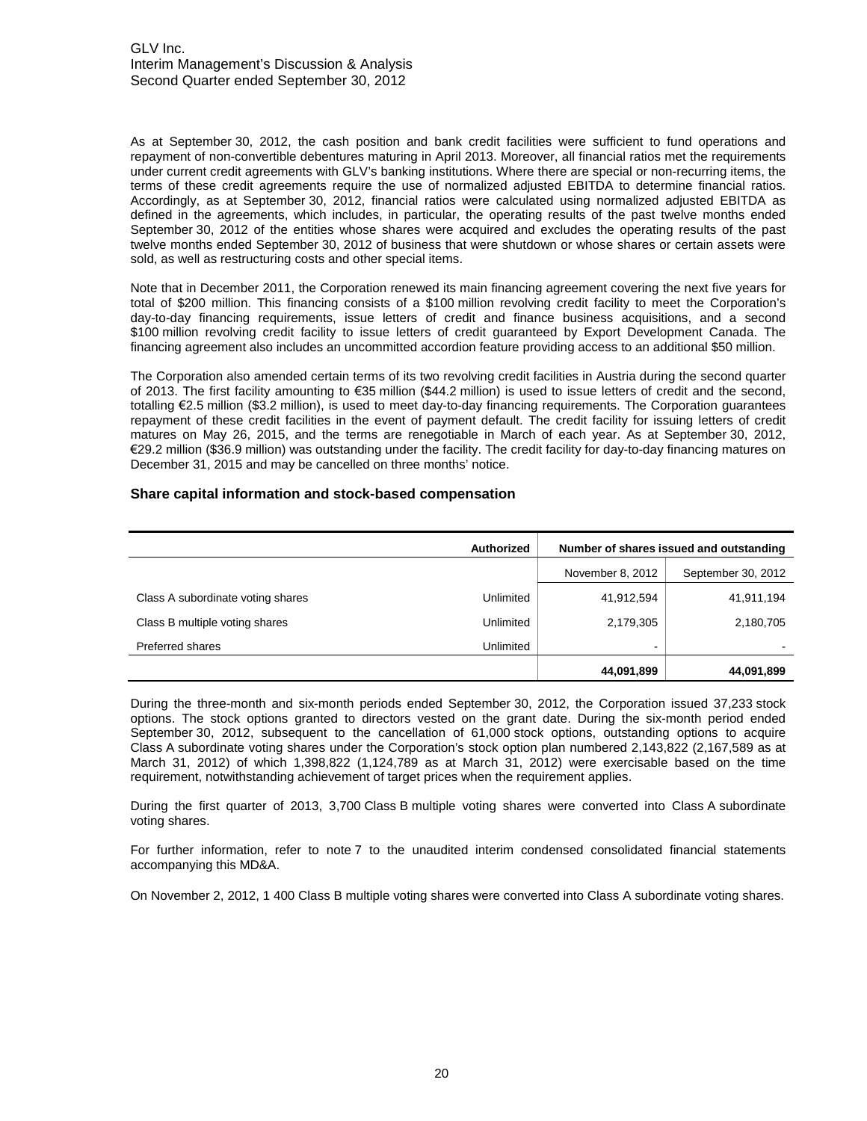As at September 30, 2012, the cash position and bank credit facilities were sufficient to fund operations and repayment of non-convertible debentures maturing in April 2013. Moreover, all financial ratios met the requirements under current credit agreements with GLV's banking institutions. Where there are special or non-recurring items, the terms of these credit agreements require the use of normalized adjusted EBITDA to determine financial ratios. Accordingly, as at September 30, 2012, financial ratios were calculated using normalized adjusted EBITDA as defined in the agreements, which includes, in particular, the operating results of the past twelve months ended September 30, 2012 of the entities whose shares were acquired and excludes the operating results of the past twelve months ended September 30, 2012 of business that were shutdown or whose shares or certain assets were sold, as well as restructuring costs and other special items.

Note that in December 2011, the Corporation renewed its main financing agreement covering the next five years for total of \$200 million. This financing consists of a \$100 million revolving credit facility to meet the Corporation's day-to-day financing requirements, issue letters of credit and finance business acquisitions, and a second \$100 million revolving credit facility to issue letters of credit guaranteed by Export Development Canada. The financing agreement also includes an uncommitted accordion feature providing access to an additional \$50 million.

The Corporation also amended certain terms of its two revolving credit facilities in Austria during the second quarter of 2013. The first facility amounting to €35 million (\$44.2 million) is used to issue letters of credit and the second, totalling €2.5 million (\$3.2 million), is used to meet day-to-day financing requirements. The Corporation guarantees repayment of these credit facilities in the event of payment default. The credit facility for issuing letters of credit matures on May 26, 2015, and the terms are renegotiable in March of each year. As at September 30, 2012, €29.2 million (\$36.9 million) was outstanding under the facility. The credit facility for day-to-day financing matures on December 31, 2015 and may be cancelled on three months' notice.

#### **Share capital information and stock-based compensation**

|                                   | <b>Authorized</b> | Number of shares issued and outstanding |            |  |
|-----------------------------------|-------------------|-----------------------------------------|------------|--|
|                                   |                   | November 8, 2012<br>September 30, 2012  |            |  |
| Class A subordinate voting shares | Unlimited         | 41,912,594                              | 41,911,194 |  |
| Class B multiple voting shares    | Unlimited         | 2,179,305                               | 2,180,705  |  |
| <b>Preferred shares</b>           | Unlimited         | $\overline{\phantom{0}}$                |            |  |
|                                   |                   | 44,091,899                              | 44,091,899 |  |

During the three-month and six-month periods ended September 30, 2012, the Corporation issued 37,233 stock options. The stock options granted to directors vested on the grant date. During the six-month period ended September 30, 2012, subsequent to the cancellation of 61,000 stock options, outstanding options to acquire Class A subordinate voting shares under the Corporation's stock option plan numbered 2,143,822 (2,167,589 as at March 31, 2012) of which 1,398,822 (1,124,789 as at March 31, 2012) were exercisable based on the time requirement, notwithstanding achievement of target prices when the requirement applies.

During the first quarter of 2013, 3,700 Class B multiple voting shares were converted into Class A subordinate voting shares.

For further information, refer to note 7 to the unaudited interim condensed consolidated financial statements accompanying this MD&A.

On November 2, 2012, 1 400 Class B multiple voting shares were converted into Class A subordinate voting shares.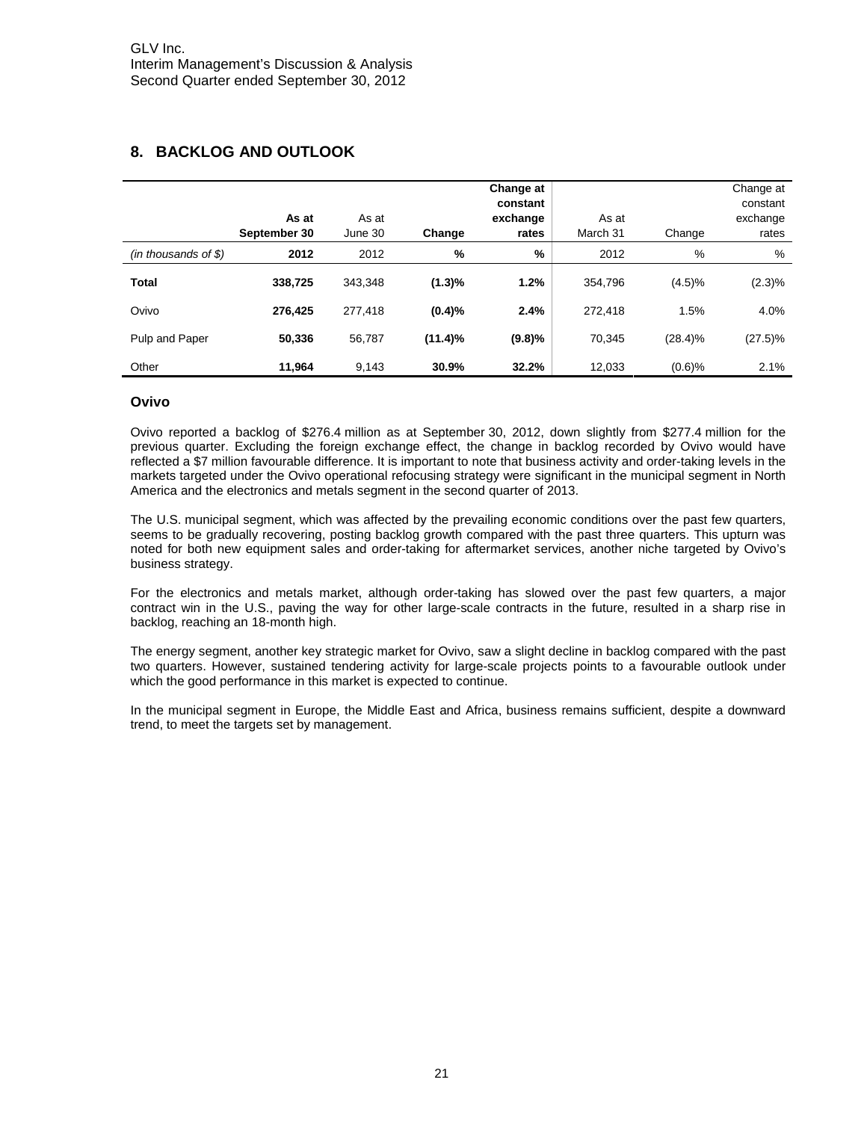## **8. BACKLOG AND OUTLOOK**

|                        | As at<br>September 30 | As at<br>June 30 | Change     | Change at<br>constant<br>exchange<br>rates | As at<br>March 31 | Change     | Change at<br>constant<br>exchange<br>rates |
|------------------------|-----------------------|------------------|------------|--------------------------------------------|-------------------|------------|--------------------------------------------|
| $(in$ thousands of \$) | 2012                  | 2012             | %          | %                                          | 2012              | %          | %                                          |
| <b>Total</b>           | 338,725               | 343.348          | (1.3)%     | 1.2%                                       | 354.796           | (4.5)%     | $(2.3)\%$                                  |
| Ovivo                  | 276.425               | 277.418          | (0.4)%     | 2.4%                                       | 272.418           | 1.5%       | 4.0%                                       |
| Pulp and Paper         | 50.336                | 56.787           | $(11.4)\%$ | (9.8)%                                     | 70.345            | $(28.4)\%$ | $(27.5)\%$                                 |
| Other                  | 11.964                | 9,143            | 30.9%      | 32.2%                                      | 12.033            | (0.6)%     | 2.1%                                       |

#### **Ovivo**

Ovivo reported a backlog of \$276.4 million as at September 30, 2012, down slightly from \$277.4 million for the previous quarter. Excluding the foreign exchange effect, the change in backlog recorded by Ovivo would have reflected a \$7 million favourable difference. It is important to note that business activity and order-taking levels in the markets targeted under the Ovivo operational refocusing strategy were significant in the municipal segment in North America and the electronics and metals segment in the second quarter of 2013.

The U.S. municipal segment, which was affected by the prevailing economic conditions over the past few quarters, seems to be gradually recovering, posting backlog growth compared with the past three quarters. This upturn was noted for both new equipment sales and order-taking for aftermarket services, another niche targeted by Ovivo's business strategy.

For the electronics and metals market, although order-taking has slowed over the past few quarters, a major contract win in the U.S., paving the way for other large-scale contracts in the future, resulted in a sharp rise in backlog, reaching an 18-month high.

The energy segment, another key strategic market for Ovivo, saw a slight decline in backlog compared with the past two quarters. However, sustained tendering activity for large-scale projects points to a favourable outlook under which the good performance in this market is expected to continue.

In the municipal segment in Europe, the Middle East and Africa, business remains sufficient, despite a downward trend, to meet the targets set by management.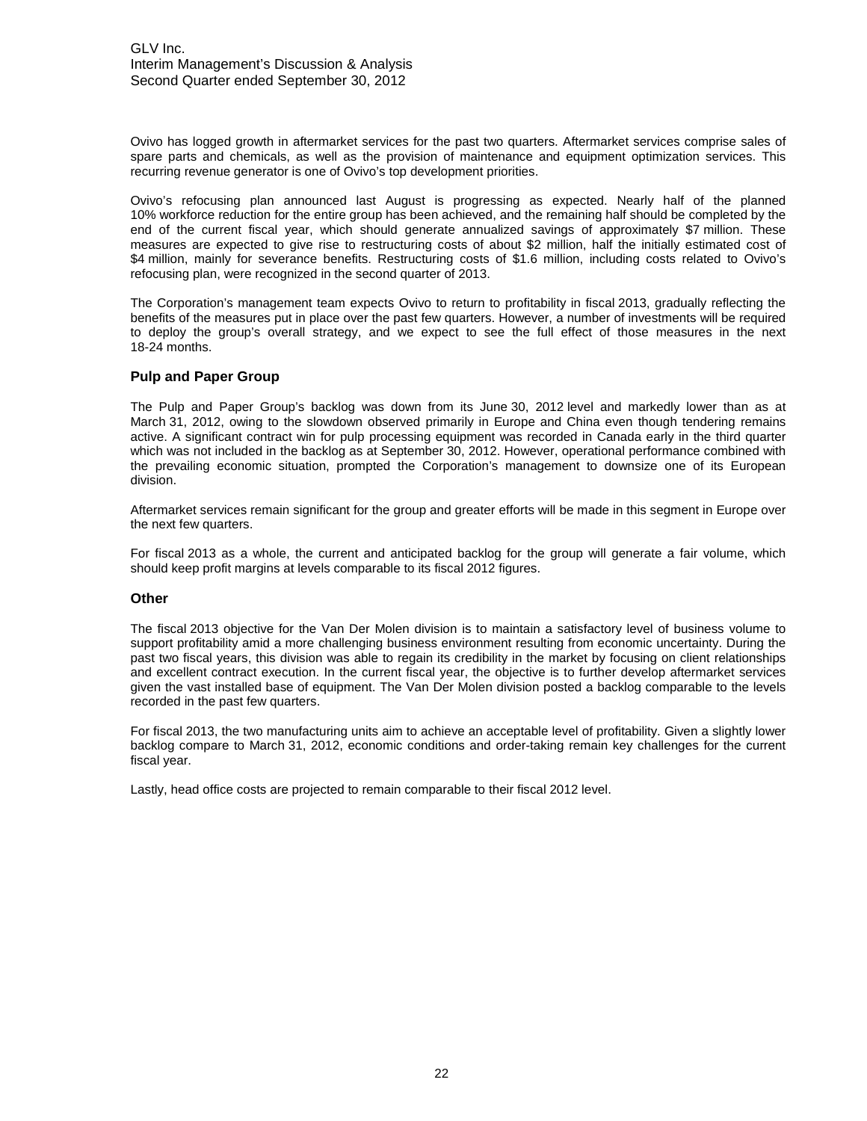Ovivo has logged growth in aftermarket services for the past two quarters. Aftermarket services comprise sales of spare parts and chemicals, as well as the provision of maintenance and equipment optimization services. This recurring revenue generator is one of Ovivo's top development priorities.

Ovivo's refocusing plan announced last August is progressing as expected. Nearly half of the planned 10% workforce reduction for the entire group has been achieved, and the remaining half should be completed by the end of the current fiscal year, which should generate annualized savings of approximately \$7 million. These measures are expected to give rise to restructuring costs of about \$2 million, half the initially estimated cost of \$4 million, mainly for severance benefits. Restructuring costs of \$1.6 million, including costs related to Ovivo's refocusing plan, were recognized in the second quarter of 2013.

The Corporation's management team expects Ovivo to return to profitability in fiscal 2013, gradually reflecting the benefits of the measures put in place over the past few quarters. However, a number of investments will be required to deploy the group's overall strategy, and we expect to see the full effect of those measures in the next 18-24 months.

#### **Pulp and Paper Group**

The Pulp and Paper Group's backlog was down from its June 30, 2012 level and markedly lower than as at March 31, 2012, owing to the slowdown observed primarily in Europe and China even though tendering remains active. A significant contract win for pulp processing equipment was recorded in Canada early in the third quarter which was not included in the backlog as at September 30, 2012. However, operational performance combined with the prevailing economic situation, prompted the Corporation's management to downsize one of its European division.

Aftermarket services remain significant for the group and greater efforts will be made in this segment in Europe over the next few quarters.

For fiscal 2013 as a whole, the current and anticipated backlog for the group will generate a fair volume, which should keep profit margins at levels comparable to its fiscal 2012 figures.

#### **Other**

The fiscal 2013 objective for the Van Der Molen division is to maintain a satisfactory level of business volume to support profitability amid a more challenging business environment resulting from economic uncertainty. During the past two fiscal years, this division was able to regain its credibility in the market by focusing on client relationships and excellent contract execution. In the current fiscal year, the objective is to further develop aftermarket services given the vast installed base of equipment. The Van Der Molen division posted a backlog comparable to the levels recorded in the past few quarters.

For fiscal 2013, the two manufacturing units aim to achieve an acceptable level of profitability. Given a slightly lower backlog compare to March 31, 2012, economic conditions and order-taking remain key challenges for the current fiscal year.

Lastly, head office costs are projected to remain comparable to their fiscal 2012 level.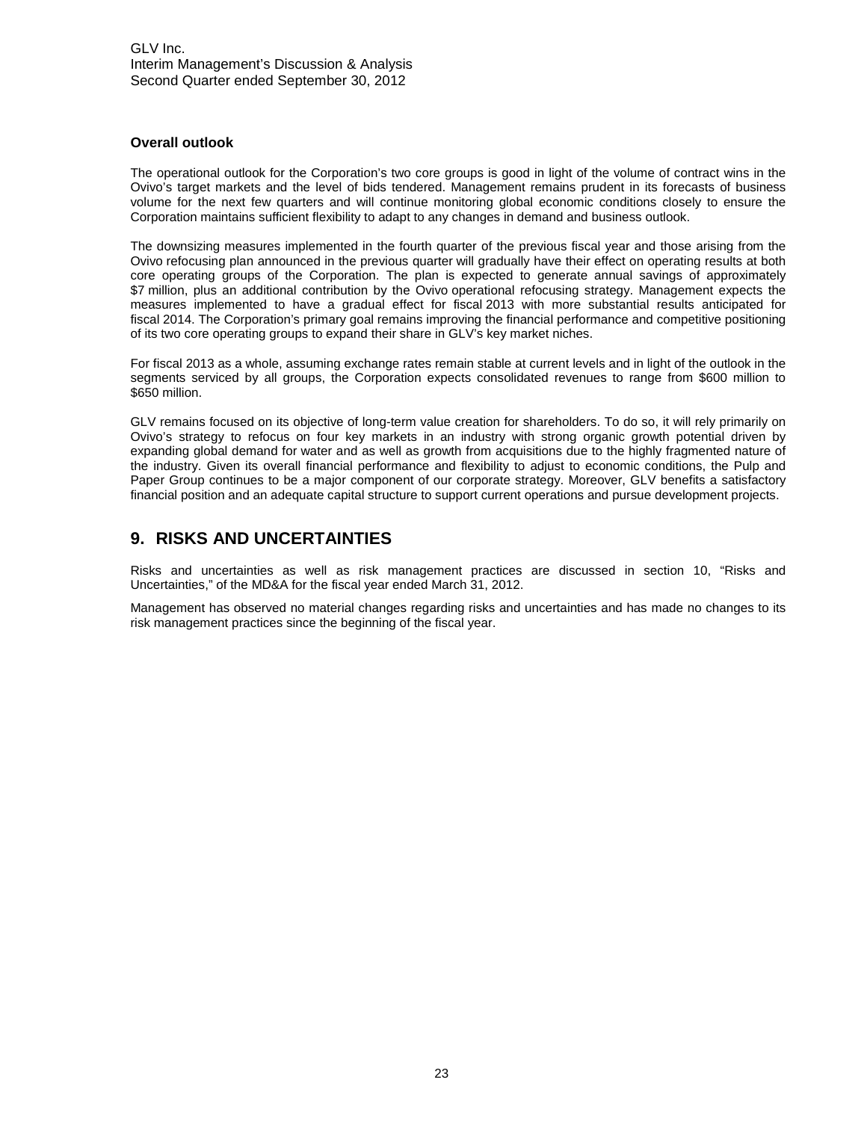#### **Overall outlook**

The operational outlook for the Corporation's two core groups is good in light of the volume of contract wins in the Ovivo's target markets and the level of bids tendered. Management remains prudent in its forecasts of business volume for the next few quarters and will continue monitoring global economic conditions closely to ensure the Corporation maintains sufficient flexibility to adapt to any changes in demand and business outlook.

The downsizing measures implemented in the fourth quarter of the previous fiscal year and those arising from the Ovivo refocusing plan announced in the previous quarter will gradually have their effect on operating results at both core operating groups of the Corporation. The plan is expected to generate annual savings of approximately \$7 million, plus an additional contribution by the Ovivo operational refocusing strategy. Management expects the measures implemented to have a gradual effect for fiscal 2013 with more substantial results anticipated for fiscal 2014. The Corporation's primary goal remains improving the financial performance and competitive positioning of its two core operating groups to expand their share in GLV's key market niches.

For fiscal 2013 as a whole, assuming exchange rates remain stable at current levels and in light of the outlook in the segments serviced by all groups, the Corporation expects consolidated revenues to range from \$600 million to \$650 million.

GLV remains focused on its objective of long-term value creation for shareholders. To do so, it will rely primarily on Ovivo's strategy to refocus on four key markets in an industry with strong organic growth potential driven by expanding global demand for water and as well as growth from acquisitions due to the highly fragmented nature of the industry. Given its overall financial performance and flexibility to adjust to economic conditions, the Pulp and Paper Group continues to be a major component of our corporate strategy. Moreover, GLV benefits a satisfactory financial position and an adequate capital structure to support current operations and pursue development projects.

## **9. RISKS AND UNCERTAINTIES**

Risks and uncertainties as well as risk management practices are discussed in section 10, "Risks and Uncertainties," of the MD&A for the fiscal year ended March 31, 2012.

Management has observed no material changes regarding risks and uncertainties and has made no changes to its risk management practices since the beginning of the fiscal year.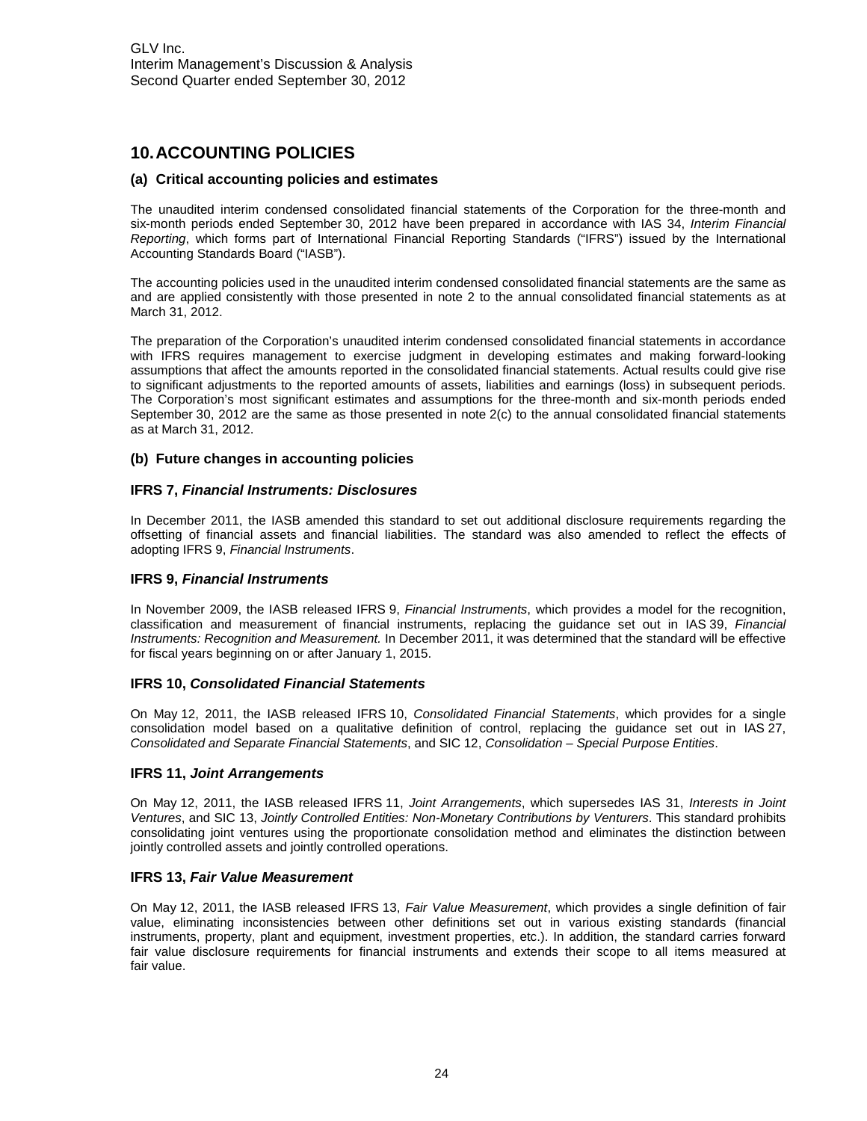## **10.ACCOUNTING POLICIES**

#### **(a) Critical accounting policies and estimates**

The unaudited interim condensed consolidated financial statements of the Corporation for the three-month and six-month periods ended September 30, 2012 have been prepared in accordance with IAS 34, *Interim Financial Reporting*, which forms part of International Financial Reporting Standards ("IFRS") issued by the International Accounting Standards Board ("IASB").

The accounting policies used in the unaudited interim condensed consolidated financial statements are the same as and are applied consistently with those presented in note 2 to the annual consolidated financial statements as at March 31, 2012.

The preparation of the Corporation's unaudited interim condensed consolidated financial statements in accordance with IFRS requires management to exercise judgment in developing estimates and making forward-looking assumptions that affect the amounts reported in the consolidated financial statements. Actual results could give rise to significant adjustments to the reported amounts of assets, liabilities and earnings (loss) in subsequent periods. The Corporation's most significant estimates and assumptions for the three-month and six-month periods ended September 30, 2012 are the same as those presented in note 2(c) to the annual consolidated financial statements as at March 31, 2012.

#### **(b) Future changes in accounting policies**

#### **IFRS 7,** *Financial Instruments: Disclosures*

In December 2011, the IASB amended this standard to set out additional disclosure requirements regarding the offsetting of financial assets and financial liabilities. The standard was also amended to reflect the effects of adopting IFRS 9, *Financial Instruments*.

#### **IFRS 9,** *Financial Instruments*

In November 2009, the IASB released IFRS 9, *Financial Instruments*, which provides a model for the recognition, classification and measurement of financial instruments, replacing the guidance set out in IAS 39, *Financial Instruments: Recognition and Measurement.* In December 2011, it was determined that the standard will be effective for fiscal years beginning on or after January 1, 2015.

#### **IFRS 10,** *Consolidated Financial Statements*

On May 12, 2011, the IASB released IFRS 10, *Consolidated Financial Statements*, which provides for a single consolidation model based on a qualitative definition of control, replacing the guidance set out in IAS 27, *Consolidated and Separate Financial Statements*, and SIC 12, *Consolidation – Special Purpose Entities*.

#### **IFRS 11,** *Joint Arrangements*

On May 12, 2011, the IASB released IFRS 11, *Joint Arrangements*, which supersedes IAS 31, *Interests in Joint Ventures*, and SIC 13, *Jointly Controlled Entities: Non-Monetary Contributions by Venturers*. This standard prohibits consolidating joint ventures using the proportionate consolidation method and eliminates the distinction between jointly controlled assets and jointly controlled operations.

#### **IFRS 13,** *Fair Value Measurement*

On May 12, 2011, the IASB released IFRS 13, *Fair Value Measurement*, which provides a single definition of fair value, eliminating inconsistencies between other definitions set out in various existing standards (financial instruments, property, plant and equipment, investment properties, etc.). In addition, the standard carries forward fair value disclosure requirements for financial instruments and extends their scope to all items measured at fair value.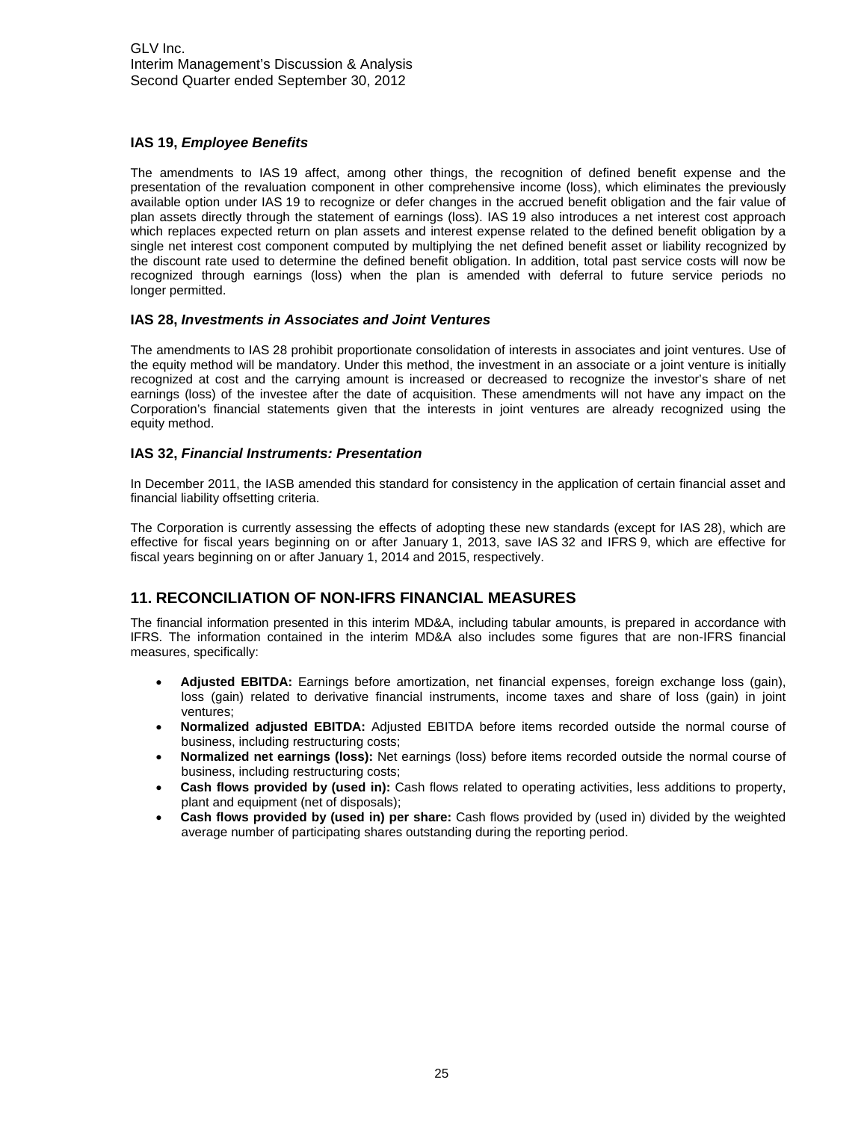#### **IAS 19,** *Employee Benefits*

The amendments to IAS 19 affect, among other things, the recognition of defined benefit expense and the presentation of the revaluation component in other comprehensive income (loss), which eliminates the previously available option under IAS 19 to recognize or defer changes in the accrued benefit obligation and the fair value of plan assets directly through the statement of earnings (loss). IAS 19 also introduces a net interest cost approach which replaces expected return on plan assets and interest expense related to the defined benefit obligation by a single net interest cost component computed by multiplying the net defined benefit asset or liability recognized by the discount rate used to determine the defined benefit obligation. In addition, total past service costs will now be recognized through earnings (loss) when the plan is amended with deferral to future service periods no longer permitted.

#### **IAS 28,** *Investments in Associates and Joint Ventures*

The amendments to IAS 28 prohibit proportionate consolidation of interests in associates and joint ventures. Use of the equity method will be mandatory. Under this method, the investment in an associate or a joint venture is initially recognized at cost and the carrying amount is increased or decreased to recognize the investor's share of net earnings (loss) of the investee after the date of acquisition. These amendments will not have any impact on the Corporation's financial statements given that the interests in joint ventures are already recognized using the equity method.

#### **IAS 32,** *Financial Instruments: Presentation*

In December 2011, the IASB amended this standard for consistency in the application of certain financial asset and financial liability offsetting criteria.

The Corporation is currently assessing the effects of adopting these new standards (except for IAS 28), which are effective for fiscal years beginning on or after January 1, 2013, save IAS 32 and IFRS 9, which are effective for fiscal years beginning on or after January 1, 2014 and 2015, respectively.

## **11. RECONCILIATION OF NON-IFRS FINANCIAL MEASURES**

The financial information presented in this interim MD&A, including tabular amounts, is prepared in accordance with IFRS. The information contained in the interim MD&A also includes some figures that are non-IFRS financial measures, specifically:

- **Adjusted EBITDA:** Earnings before amortization, net financial expenses, foreign exchange loss (gain), loss (gain) related to derivative financial instruments, income taxes and share of loss (gain) in joint ventures;
- **Normalized adjusted EBITDA:** Adjusted EBITDA before items recorded outside the normal course of business, including restructuring costs;
- **Normalized net earnings (loss):** Net earnings (loss) before items recorded outside the normal course of business, including restructuring costs;
- **Cash flows provided by (used in):** Cash flows related to operating activities, less additions to property, plant and equipment (net of disposals);
- **Cash flows provided by (used in) per share:** Cash flows provided by (used in) divided by the weighted average number of participating shares outstanding during the reporting period.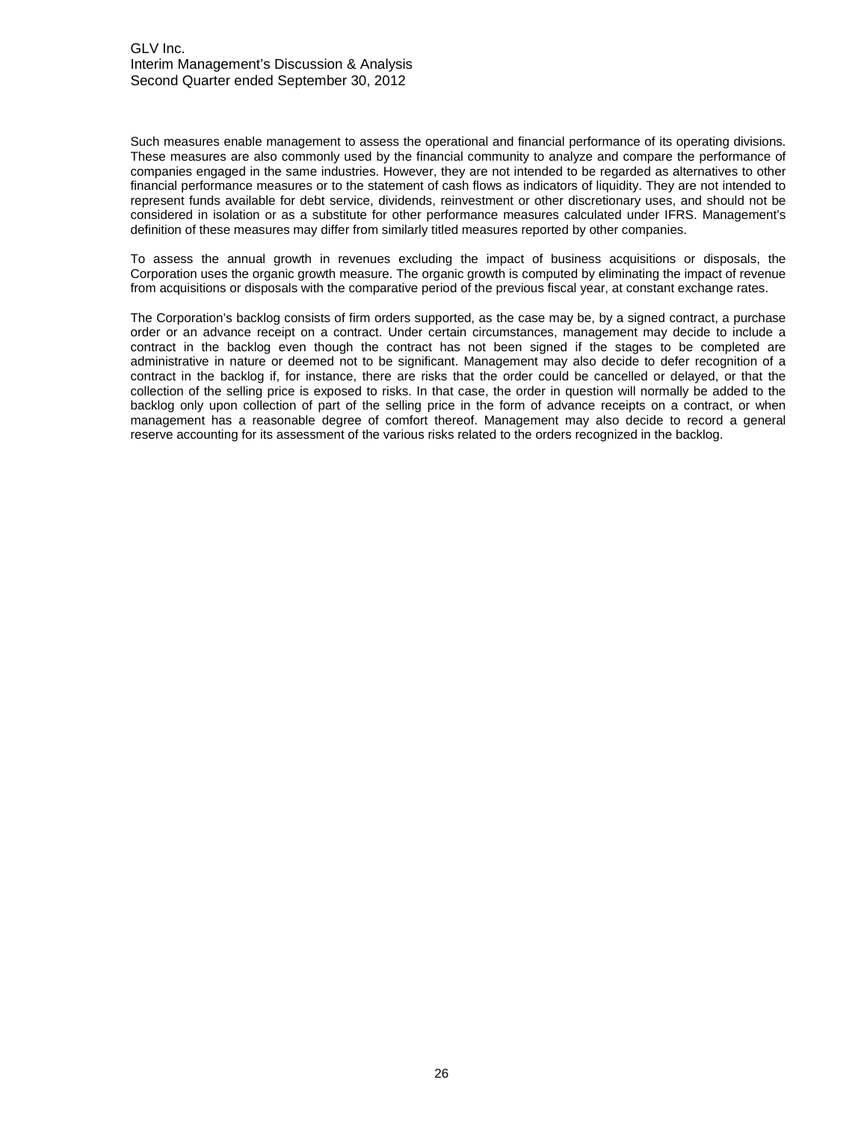Such measures enable management to assess the operational and financial performance of its operating divisions. These measures are also commonly used by the financial community to analyze and compare the performance of companies engaged in the same industries. However, they are not intended to be regarded as alternatives to other financial performance measures or to the statement of cash flows as indicators of liquidity. They are not intended to represent funds available for debt service, dividends, reinvestment or other discretionary uses, and should not be considered in isolation or as a substitute for other performance measures calculated under IFRS. Management's definition of these measures may differ from similarly titled measures reported by other companies.

To assess the annual growth in revenues excluding the impact of business acquisitions or disposals, the Corporation uses the organic growth measure. The organic growth is computed by eliminating the impact of revenue from acquisitions or disposals with the comparative period of the previous fiscal year, at constant exchange rates.

The Corporation's backlog consists of firm orders supported, as the case may be, by a signed contract, a purchase order or an advance receipt on a contract. Under certain circumstances, management may decide to include a contract in the backlog even though the contract has not been signed if the stages to be completed are administrative in nature or deemed not to be significant. Management may also decide to defer recognition of a contract in the backlog if, for instance, there are risks that the order could be cancelled or delayed, or that the collection of the selling price is exposed to risks. In that case, the order in question will normally be added to the backlog only upon collection of part of the selling price in the form of advance receipts on a contract, or when management has a reasonable degree of comfort thereof. Management may also decide to record a general reserve accounting for its assessment of the various risks related to the orders recognized in the backlog.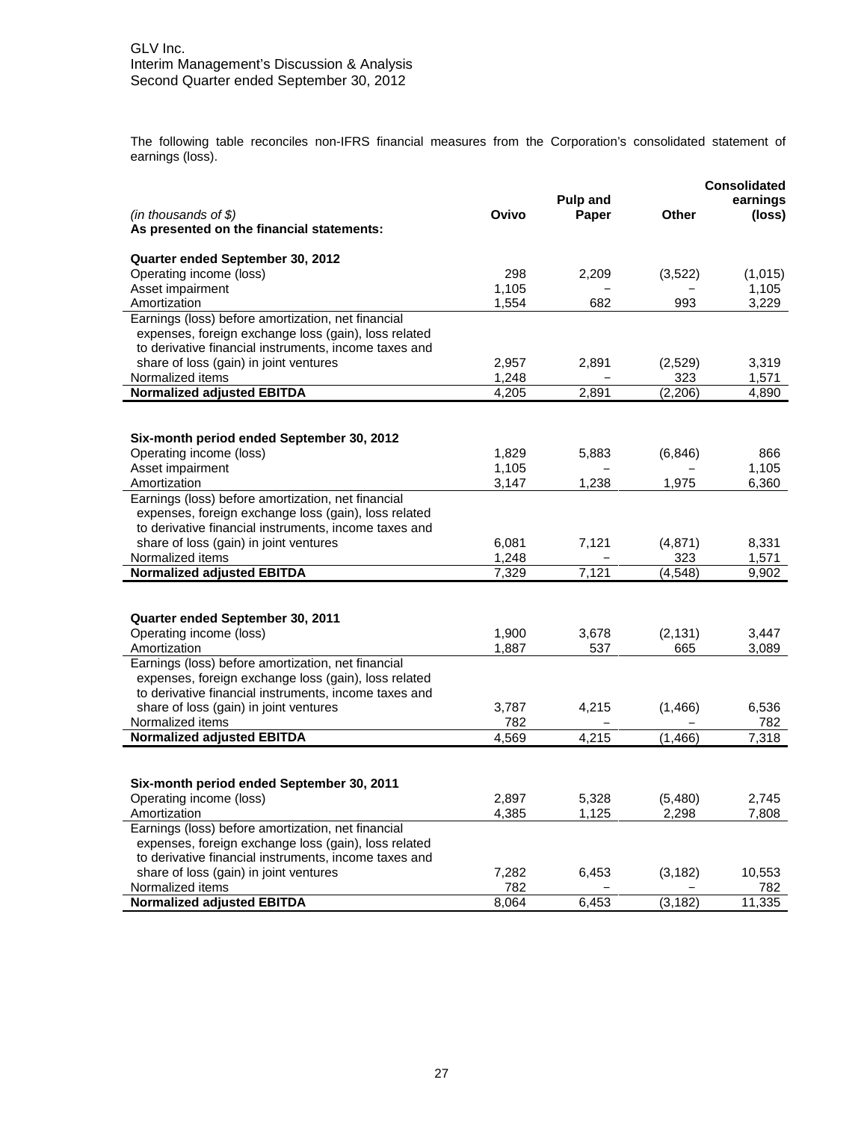The following table reconciles non-IFRS financial measures from the Corporation's consolidated statement of earnings (loss).

| <b>Pulp and</b><br>earnings<br><b>Other</b><br>$(in$ thousands of \$)<br>Ovivo<br>Paper<br>(loss)<br>As presented on the financial statements:<br>Quarter ended September 30, 2012<br>Operating income (loss)<br>298<br>2,209<br>(3, 522)<br>(1,015)<br>Asset impairment<br>1,105<br>1,105<br>993<br>3,229<br>Amortization<br>1,554<br>682<br>Earnings (loss) before amortization, net financial<br>expenses, foreign exchange loss (gain), loss related<br>to derivative financial instruments, income taxes and<br>share of loss (gain) in joint ventures<br>2,957<br>(2,529)<br>3,319<br>2,891<br>Normalized items<br>1,248<br>323<br>1,571<br><b>Normalized adjusted EBITDA</b><br>4,205<br>2,891<br>(2, 206)<br>4,890<br>Six-month period ended September 30, 2012<br>Operating income (loss)<br>1,829<br>5,883<br>(6, 846)<br>866<br>Asset impairment<br>1,105<br>1,105<br>6,360<br>Amortization<br>3,147<br>1,238<br>1,975<br>Earnings (loss) before amortization, net financial<br>expenses, foreign exchange loss (gain), loss related<br>to derivative financial instruments, income taxes and<br>share of loss (gain) in joint ventures<br>6,081<br>8,331<br>7,121<br>(4,871)<br>Normalized items<br>1,248<br>323<br>1,571<br><b>Normalized adjusted EBITDA</b><br>7,329<br>7,121<br>(4, 548)<br>9,902<br>Quarter ended September 30, 2011<br>Operating income (loss)<br>1,900<br>3,678<br>(2, 131)<br>3,447<br>1,887<br>Amortization<br>537<br>665<br>3,089<br>Earnings (loss) before amortization, net financial<br>expenses, foreign exchange loss (gain), loss related<br>to derivative financial instruments, income taxes and<br>share of loss (gain) in joint ventures<br>3,787<br>4,215<br>(1,466)<br>6,536<br>Normalized items<br>782<br>782<br><b>Normalized adjusted EBITDA</b><br>4,569<br>4,215<br>7,318<br>(1, 466)<br>Six-month period ended September 30, 2011<br>Operating income (loss)<br>2,897<br>5,328<br>(5,480)<br>2,745<br>Amortization<br>4,385<br>1,125<br>2,298<br>7,808<br>Earnings (loss) before amortization, net financial<br>expenses, foreign exchange loss (gain), loss related<br>to derivative financial instruments, income taxes and<br>share of loss (gain) in joint ventures<br>7,282<br>6,453<br>(3, 182)<br>10,553<br>Normalized items<br>782<br>782<br><b>Normalized adjusted EBITDA</b><br>6,453<br>(3, 182)<br>8,064<br>11,335 |  |  | <b>Consolidated</b> |
|----------------------------------------------------------------------------------------------------------------------------------------------------------------------------------------------------------------------------------------------------------------------------------------------------------------------------------------------------------------------------------------------------------------------------------------------------------------------------------------------------------------------------------------------------------------------------------------------------------------------------------------------------------------------------------------------------------------------------------------------------------------------------------------------------------------------------------------------------------------------------------------------------------------------------------------------------------------------------------------------------------------------------------------------------------------------------------------------------------------------------------------------------------------------------------------------------------------------------------------------------------------------------------------------------------------------------------------------------------------------------------------------------------------------------------------------------------------------------------------------------------------------------------------------------------------------------------------------------------------------------------------------------------------------------------------------------------------------------------------------------------------------------------------------------------------------------------------------------------------------------------------------------------------------------------------------------------------------------------------------------------------------------------------------------------------------------------------------------------------------------------------------------------------------------------------------------------------------------------------------------------------------------------------------------------------------------------------------------------------------------------------|--|--|---------------------|
|                                                                                                                                                                                                                                                                                                                                                                                                                                                                                                                                                                                                                                                                                                                                                                                                                                                                                                                                                                                                                                                                                                                                                                                                                                                                                                                                                                                                                                                                                                                                                                                                                                                                                                                                                                                                                                                                                                                                                                                                                                                                                                                                                                                                                                                                                                                                                                                        |  |  |                     |
|                                                                                                                                                                                                                                                                                                                                                                                                                                                                                                                                                                                                                                                                                                                                                                                                                                                                                                                                                                                                                                                                                                                                                                                                                                                                                                                                                                                                                                                                                                                                                                                                                                                                                                                                                                                                                                                                                                                                                                                                                                                                                                                                                                                                                                                                                                                                                                                        |  |  |                     |
|                                                                                                                                                                                                                                                                                                                                                                                                                                                                                                                                                                                                                                                                                                                                                                                                                                                                                                                                                                                                                                                                                                                                                                                                                                                                                                                                                                                                                                                                                                                                                                                                                                                                                                                                                                                                                                                                                                                                                                                                                                                                                                                                                                                                                                                                                                                                                                                        |  |  |                     |
|                                                                                                                                                                                                                                                                                                                                                                                                                                                                                                                                                                                                                                                                                                                                                                                                                                                                                                                                                                                                                                                                                                                                                                                                                                                                                                                                                                                                                                                                                                                                                                                                                                                                                                                                                                                                                                                                                                                                                                                                                                                                                                                                                                                                                                                                                                                                                                                        |  |  |                     |
|                                                                                                                                                                                                                                                                                                                                                                                                                                                                                                                                                                                                                                                                                                                                                                                                                                                                                                                                                                                                                                                                                                                                                                                                                                                                                                                                                                                                                                                                                                                                                                                                                                                                                                                                                                                                                                                                                                                                                                                                                                                                                                                                                                                                                                                                                                                                                                                        |  |  |                     |
|                                                                                                                                                                                                                                                                                                                                                                                                                                                                                                                                                                                                                                                                                                                                                                                                                                                                                                                                                                                                                                                                                                                                                                                                                                                                                                                                                                                                                                                                                                                                                                                                                                                                                                                                                                                                                                                                                                                                                                                                                                                                                                                                                                                                                                                                                                                                                                                        |  |  |                     |
|                                                                                                                                                                                                                                                                                                                                                                                                                                                                                                                                                                                                                                                                                                                                                                                                                                                                                                                                                                                                                                                                                                                                                                                                                                                                                                                                                                                                                                                                                                                                                                                                                                                                                                                                                                                                                                                                                                                                                                                                                                                                                                                                                                                                                                                                                                                                                                                        |  |  |                     |
|                                                                                                                                                                                                                                                                                                                                                                                                                                                                                                                                                                                                                                                                                                                                                                                                                                                                                                                                                                                                                                                                                                                                                                                                                                                                                                                                                                                                                                                                                                                                                                                                                                                                                                                                                                                                                                                                                                                                                                                                                                                                                                                                                                                                                                                                                                                                                                                        |  |  |                     |
|                                                                                                                                                                                                                                                                                                                                                                                                                                                                                                                                                                                                                                                                                                                                                                                                                                                                                                                                                                                                                                                                                                                                                                                                                                                                                                                                                                                                                                                                                                                                                                                                                                                                                                                                                                                                                                                                                                                                                                                                                                                                                                                                                                                                                                                                                                                                                                                        |  |  |                     |
|                                                                                                                                                                                                                                                                                                                                                                                                                                                                                                                                                                                                                                                                                                                                                                                                                                                                                                                                                                                                                                                                                                                                                                                                                                                                                                                                                                                                                                                                                                                                                                                                                                                                                                                                                                                                                                                                                                                                                                                                                                                                                                                                                                                                                                                                                                                                                                                        |  |  |                     |
|                                                                                                                                                                                                                                                                                                                                                                                                                                                                                                                                                                                                                                                                                                                                                                                                                                                                                                                                                                                                                                                                                                                                                                                                                                                                                                                                                                                                                                                                                                                                                                                                                                                                                                                                                                                                                                                                                                                                                                                                                                                                                                                                                                                                                                                                                                                                                                                        |  |  |                     |
|                                                                                                                                                                                                                                                                                                                                                                                                                                                                                                                                                                                                                                                                                                                                                                                                                                                                                                                                                                                                                                                                                                                                                                                                                                                                                                                                                                                                                                                                                                                                                                                                                                                                                                                                                                                                                                                                                                                                                                                                                                                                                                                                                                                                                                                                                                                                                                                        |  |  |                     |
|                                                                                                                                                                                                                                                                                                                                                                                                                                                                                                                                                                                                                                                                                                                                                                                                                                                                                                                                                                                                                                                                                                                                                                                                                                                                                                                                                                                                                                                                                                                                                                                                                                                                                                                                                                                                                                                                                                                                                                                                                                                                                                                                                                                                                                                                                                                                                                                        |  |  |                     |
|                                                                                                                                                                                                                                                                                                                                                                                                                                                                                                                                                                                                                                                                                                                                                                                                                                                                                                                                                                                                                                                                                                                                                                                                                                                                                                                                                                                                                                                                                                                                                                                                                                                                                                                                                                                                                                                                                                                                                                                                                                                                                                                                                                                                                                                                                                                                                                                        |  |  |                     |
|                                                                                                                                                                                                                                                                                                                                                                                                                                                                                                                                                                                                                                                                                                                                                                                                                                                                                                                                                                                                                                                                                                                                                                                                                                                                                                                                                                                                                                                                                                                                                                                                                                                                                                                                                                                                                                                                                                                                                                                                                                                                                                                                                                                                                                                                                                                                                                                        |  |  |                     |
|                                                                                                                                                                                                                                                                                                                                                                                                                                                                                                                                                                                                                                                                                                                                                                                                                                                                                                                                                                                                                                                                                                                                                                                                                                                                                                                                                                                                                                                                                                                                                                                                                                                                                                                                                                                                                                                                                                                                                                                                                                                                                                                                                                                                                                                                                                                                                                                        |  |  |                     |
|                                                                                                                                                                                                                                                                                                                                                                                                                                                                                                                                                                                                                                                                                                                                                                                                                                                                                                                                                                                                                                                                                                                                                                                                                                                                                                                                                                                                                                                                                                                                                                                                                                                                                                                                                                                                                                                                                                                                                                                                                                                                                                                                                                                                                                                                                                                                                                                        |  |  |                     |
|                                                                                                                                                                                                                                                                                                                                                                                                                                                                                                                                                                                                                                                                                                                                                                                                                                                                                                                                                                                                                                                                                                                                                                                                                                                                                                                                                                                                                                                                                                                                                                                                                                                                                                                                                                                                                                                                                                                                                                                                                                                                                                                                                                                                                                                                                                                                                                                        |  |  |                     |
|                                                                                                                                                                                                                                                                                                                                                                                                                                                                                                                                                                                                                                                                                                                                                                                                                                                                                                                                                                                                                                                                                                                                                                                                                                                                                                                                                                                                                                                                                                                                                                                                                                                                                                                                                                                                                                                                                                                                                                                                                                                                                                                                                                                                                                                                                                                                                                                        |  |  |                     |
|                                                                                                                                                                                                                                                                                                                                                                                                                                                                                                                                                                                                                                                                                                                                                                                                                                                                                                                                                                                                                                                                                                                                                                                                                                                                                                                                                                                                                                                                                                                                                                                                                                                                                                                                                                                                                                                                                                                                                                                                                                                                                                                                                                                                                                                                                                                                                                                        |  |  |                     |
|                                                                                                                                                                                                                                                                                                                                                                                                                                                                                                                                                                                                                                                                                                                                                                                                                                                                                                                                                                                                                                                                                                                                                                                                                                                                                                                                                                                                                                                                                                                                                                                                                                                                                                                                                                                                                                                                                                                                                                                                                                                                                                                                                                                                                                                                                                                                                                                        |  |  |                     |
|                                                                                                                                                                                                                                                                                                                                                                                                                                                                                                                                                                                                                                                                                                                                                                                                                                                                                                                                                                                                                                                                                                                                                                                                                                                                                                                                                                                                                                                                                                                                                                                                                                                                                                                                                                                                                                                                                                                                                                                                                                                                                                                                                                                                                                                                                                                                                                                        |  |  |                     |
|                                                                                                                                                                                                                                                                                                                                                                                                                                                                                                                                                                                                                                                                                                                                                                                                                                                                                                                                                                                                                                                                                                                                                                                                                                                                                                                                                                                                                                                                                                                                                                                                                                                                                                                                                                                                                                                                                                                                                                                                                                                                                                                                                                                                                                                                                                                                                                                        |  |  |                     |
|                                                                                                                                                                                                                                                                                                                                                                                                                                                                                                                                                                                                                                                                                                                                                                                                                                                                                                                                                                                                                                                                                                                                                                                                                                                                                                                                                                                                                                                                                                                                                                                                                                                                                                                                                                                                                                                                                                                                                                                                                                                                                                                                                                                                                                                                                                                                                                                        |  |  |                     |
|                                                                                                                                                                                                                                                                                                                                                                                                                                                                                                                                                                                                                                                                                                                                                                                                                                                                                                                                                                                                                                                                                                                                                                                                                                                                                                                                                                                                                                                                                                                                                                                                                                                                                                                                                                                                                                                                                                                                                                                                                                                                                                                                                                                                                                                                                                                                                                                        |  |  |                     |
|                                                                                                                                                                                                                                                                                                                                                                                                                                                                                                                                                                                                                                                                                                                                                                                                                                                                                                                                                                                                                                                                                                                                                                                                                                                                                                                                                                                                                                                                                                                                                                                                                                                                                                                                                                                                                                                                                                                                                                                                                                                                                                                                                                                                                                                                                                                                                                                        |  |  |                     |
|                                                                                                                                                                                                                                                                                                                                                                                                                                                                                                                                                                                                                                                                                                                                                                                                                                                                                                                                                                                                                                                                                                                                                                                                                                                                                                                                                                                                                                                                                                                                                                                                                                                                                                                                                                                                                                                                                                                                                                                                                                                                                                                                                                                                                                                                                                                                                                                        |  |  |                     |
|                                                                                                                                                                                                                                                                                                                                                                                                                                                                                                                                                                                                                                                                                                                                                                                                                                                                                                                                                                                                                                                                                                                                                                                                                                                                                                                                                                                                                                                                                                                                                                                                                                                                                                                                                                                                                                                                                                                                                                                                                                                                                                                                                                                                                                                                                                                                                                                        |  |  |                     |
|                                                                                                                                                                                                                                                                                                                                                                                                                                                                                                                                                                                                                                                                                                                                                                                                                                                                                                                                                                                                                                                                                                                                                                                                                                                                                                                                                                                                                                                                                                                                                                                                                                                                                                                                                                                                                                                                                                                                                                                                                                                                                                                                                                                                                                                                                                                                                                                        |  |  |                     |
|                                                                                                                                                                                                                                                                                                                                                                                                                                                                                                                                                                                                                                                                                                                                                                                                                                                                                                                                                                                                                                                                                                                                                                                                                                                                                                                                                                                                                                                                                                                                                                                                                                                                                                                                                                                                                                                                                                                                                                                                                                                                                                                                                                                                                                                                                                                                                                                        |  |  |                     |
|                                                                                                                                                                                                                                                                                                                                                                                                                                                                                                                                                                                                                                                                                                                                                                                                                                                                                                                                                                                                                                                                                                                                                                                                                                                                                                                                                                                                                                                                                                                                                                                                                                                                                                                                                                                                                                                                                                                                                                                                                                                                                                                                                                                                                                                                                                                                                                                        |  |  |                     |
|                                                                                                                                                                                                                                                                                                                                                                                                                                                                                                                                                                                                                                                                                                                                                                                                                                                                                                                                                                                                                                                                                                                                                                                                                                                                                                                                                                                                                                                                                                                                                                                                                                                                                                                                                                                                                                                                                                                                                                                                                                                                                                                                                                                                                                                                                                                                                                                        |  |  |                     |
|                                                                                                                                                                                                                                                                                                                                                                                                                                                                                                                                                                                                                                                                                                                                                                                                                                                                                                                                                                                                                                                                                                                                                                                                                                                                                                                                                                                                                                                                                                                                                                                                                                                                                                                                                                                                                                                                                                                                                                                                                                                                                                                                                                                                                                                                                                                                                                                        |  |  |                     |
|                                                                                                                                                                                                                                                                                                                                                                                                                                                                                                                                                                                                                                                                                                                                                                                                                                                                                                                                                                                                                                                                                                                                                                                                                                                                                                                                                                                                                                                                                                                                                                                                                                                                                                                                                                                                                                                                                                                                                                                                                                                                                                                                                                                                                                                                                                                                                                                        |  |  |                     |
|                                                                                                                                                                                                                                                                                                                                                                                                                                                                                                                                                                                                                                                                                                                                                                                                                                                                                                                                                                                                                                                                                                                                                                                                                                                                                                                                                                                                                                                                                                                                                                                                                                                                                                                                                                                                                                                                                                                                                                                                                                                                                                                                                                                                                                                                                                                                                                                        |  |  |                     |
|                                                                                                                                                                                                                                                                                                                                                                                                                                                                                                                                                                                                                                                                                                                                                                                                                                                                                                                                                                                                                                                                                                                                                                                                                                                                                                                                                                                                                                                                                                                                                                                                                                                                                                                                                                                                                                                                                                                                                                                                                                                                                                                                                                                                                                                                                                                                                                                        |  |  |                     |
|                                                                                                                                                                                                                                                                                                                                                                                                                                                                                                                                                                                                                                                                                                                                                                                                                                                                                                                                                                                                                                                                                                                                                                                                                                                                                                                                                                                                                                                                                                                                                                                                                                                                                                                                                                                                                                                                                                                                                                                                                                                                                                                                                                                                                                                                                                                                                                                        |  |  |                     |
|                                                                                                                                                                                                                                                                                                                                                                                                                                                                                                                                                                                                                                                                                                                                                                                                                                                                                                                                                                                                                                                                                                                                                                                                                                                                                                                                                                                                                                                                                                                                                                                                                                                                                                                                                                                                                                                                                                                                                                                                                                                                                                                                                                                                                                                                                                                                                                                        |  |  |                     |
|                                                                                                                                                                                                                                                                                                                                                                                                                                                                                                                                                                                                                                                                                                                                                                                                                                                                                                                                                                                                                                                                                                                                                                                                                                                                                                                                                                                                                                                                                                                                                                                                                                                                                                                                                                                                                                                                                                                                                                                                                                                                                                                                                                                                                                                                                                                                                                                        |  |  |                     |
|                                                                                                                                                                                                                                                                                                                                                                                                                                                                                                                                                                                                                                                                                                                                                                                                                                                                                                                                                                                                                                                                                                                                                                                                                                                                                                                                                                                                                                                                                                                                                                                                                                                                                                                                                                                                                                                                                                                                                                                                                                                                                                                                                                                                                                                                                                                                                                                        |  |  |                     |
|                                                                                                                                                                                                                                                                                                                                                                                                                                                                                                                                                                                                                                                                                                                                                                                                                                                                                                                                                                                                                                                                                                                                                                                                                                                                                                                                                                                                                                                                                                                                                                                                                                                                                                                                                                                                                                                                                                                                                                                                                                                                                                                                                                                                                                                                                                                                                                                        |  |  |                     |
|                                                                                                                                                                                                                                                                                                                                                                                                                                                                                                                                                                                                                                                                                                                                                                                                                                                                                                                                                                                                                                                                                                                                                                                                                                                                                                                                                                                                                                                                                                                                                                                                                                                                                                                                                                                                                                                                                                                                                                                                                                                                                                                                                                                                                                                                                                                                                                                        |  |  |                     |
|                                                                                                                                                                                                                                                                                                                                                                                                                                                                                                                                                                                                                                                                                                                                                                                                                                                                                                                                                                                                                                                                                                                                                                                                                                                                                                                                                                                                                                                                                                                                                                                                                                                                                                                                                                                                                                                                                                                                                                                                                                                                                                                                                                                                                                                                                                                                                                                        |  |  |                     |
|                                                                                                                                                                                                                                                                                                                                                                                                                                                                                                                                                                                                                                                                                                                                                                                                                                                                                                                                                                                                                                                                                                                                                                                                                                                                                                                                                                                                                                                                                                                                                                                                                                                                                                                                                                                                                                                                                                                                                                                                                                                                                                                                                                                                                                                                                                                                                                                        |  |  |                     |